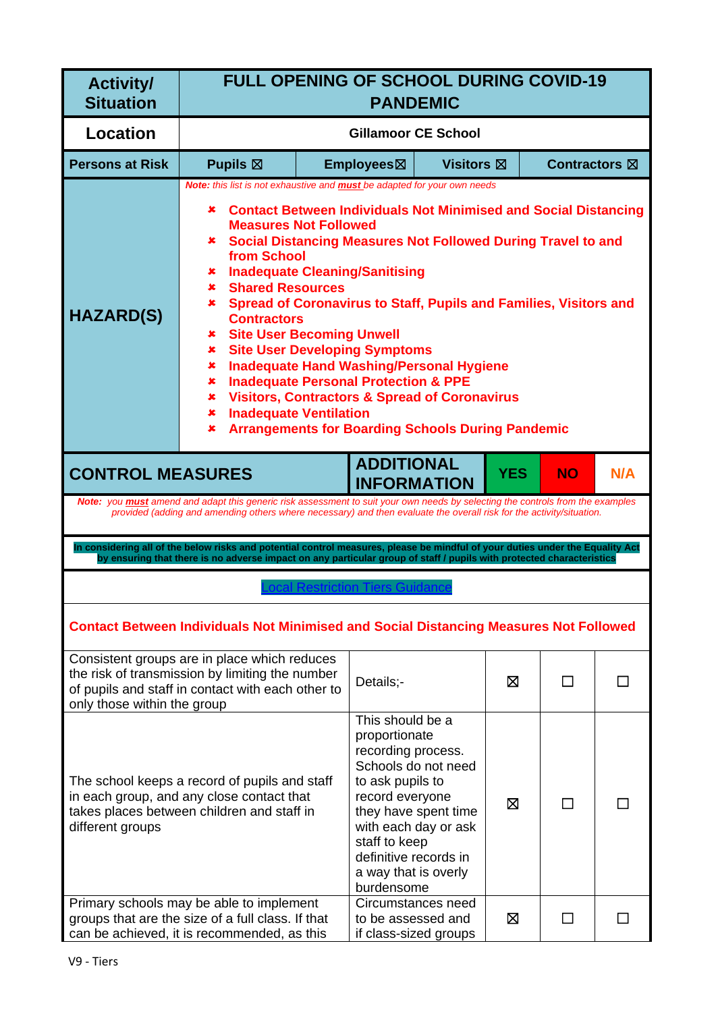| <b>Activity/</b><br><b>Situation</b>                                                                                                                                                                                                                                                                                                                           | <b>FULL OPENING OF SCHOOL DURING COVID-19</b><br><b>PANDEMIC</b>                                                                                                                                                                                                                                                                                                                                                                                                                                                                                                                                                                                                                                                                                                                                                                                                               |                            |                                                                                                                                                                                                                                                       |                   |   |                      |        |
|----------------------------------------------------------------------------------------------------------------------------------------------------------------------------------------------------------------------------------------------------------------------------------------------------------------------------------------------------------------|--------------------------------------------------------------------------------------------------------------------------------------------------------------------------------------------------------------------------------------------------------------------------------------------------------------------------------------------------------------------------------------------------------------------------------------------------------------------------------------------------------------------------------------------------------------------------------------------------------------------------------------------------------------------------------------------------------------------------------------------------------------------------------------------------------------------------------------------------------------------------------|----------------------------|-------------------------------------------------------------------------------------------------------------------------------------------------------------------------------------------------------------------------------------------------------|-------------------|---|----------------------|--------|
| <b>Location</b>                                                                                                                                                                                                                                                                                                                                                |                                                                                                                                                                                                                                                                                                                                                                                                                                                                                                                                                                                                                                                                                                                                                                                                                                                                                | <b>Gillamoor CE School</b> |                                                                                                                                                                                                                                                       |                   |   |                      |        |
| <b>Persons at Risk</b>                                                                                                                                                                                                                                                                                                                                         | Pupils $\boxtimes$                                                                                                                                                                                                                                                                                                                                                                                                                                                                                                                                                                                                                                                                                                                                                                                                                                                             |                            | Employees⊠                                                                                                                                                                                                                                            | <b>Visitors</b> ⊠ |   | <b>Contractors</b> ⊠ |        |
| <b>HAZARD(S)</b>                                                                                                                                                                                                                                                                                                                                               | Note: this list is not exhaustive and <b>must</b> be adapted for your own needs<br><b>Contact Between Individuals Not Minimised and Social Distancing</b><br>×<br><b>Measures Not Followed</b><br><b>Social Distancing Measures Not Followed During Travel to and</b><br>x.<br>from School<br><b>Inadequate Cleaning/Sanitising</b><br>x.<br><b>Shared Resources</b><br>×.<br>Spread of Coronavirus to Staff, Pupils and Families, Visitors and<br>×.<br><b>Contractors</b><br><b>Site User Becoming Unwell</b><br>$\mathbf x$<br><b>Site User Developing Symptoms</b><br>$\mathbf x$<br><b>Inadequate Hand Washing/Personal Hygiene</b><br>×<br><b>Inadequate Personal Protection &amp; PPE</b><br>×<br><b>Visitors, Contractors &amp; Spread of Coronavirus</b><br>x.<br><b>Inadequate Ventilation</b><br>×<br><b>Arrangements for Boarding Schools During Pandemic</b><br>× |                            |                                                                                                                                                                                                                                                       |                   |   |                      |        |
| <b>ADDITIONAL</b><br><b>YES</b><br><b>CONTROL MEASURES</b><br><b>NO</b><br>N/A<br><b>INFORMATION</b><br>Note: you must amend and adapt this generic risk assessment to suit your own needs by selecting the controls from the examples<br>provided (adding and amending others where necessary) and then evaluate the overall risk for the activity/situation. |                                                                                                                                                                                                                                                                                                                                                                                                                                                                                                                                                                                                                                                                                                                                                                                                                                                                                |                            |                                                                                                                                                                                                                                                       |                   |   |                      |        |
|                                                                                                                                                                                                                                                                                                                                                                | In considering all of the below risks and potential control measures, please be mindful of your duties under the Equality Act<br>by ensuring that there is no adverse impact on any particular group of staff / pupils with protected characteristics                                                                                                                                                                                                                                                                                                                                                                                                                                                                                                                                                                                                                          |                            |                                                                                                                                                                                                                                                       |                   |   |                      |        |
|                                                                                                                                                                                                                                                                                                                                                                |                                                                                                                                                                                                                                                                                                                                                                                                                                                                                                                                                                                                                                                                                                                                                                                                                                                                                |                            |                                                                                                                                                                                                                                                       |                   |   |                      |        |
|                                                                                                                                                                                                                                                                                                                                                                | <b>Contact Between Individuals Not Minimised and Social Distancing Measures Not Followed</b>                                                                                                                                                                                                                                                                                                                                                                                                                                                                                                                                                                                                                                                                                                                                                                                   |                            |                                                                                                                                                                                                                                                       |                   |   |                      |        |
| only those within the group                                                                                                                                                                                                                                                                                                                                    | Consistent groups are in place which reduces<br>the risk of transmission by limiting the number<br>of pupils and staff in contact with each other to                                                                                                                                                                                                                                                                                                                                                                                                                                                                                                                                                                                                                                                                                                                           |                            | Details;-                                                                                                                                                                                                                                             |                   | X | П                    | П      |
| different groups                                                                                                                                                                                                                                                                                                                                               | The school keeps a record of pupils and staff<br>in each group, and any close contact that<br>takes places between children and staff in                                                                                                                                                                                                                                                                                                                                                                                                                                                                                                                                                                                                                                                                                                                                       |                            | This should be a<br>proportionate<br>recording process.<br>Schools do not need<br>to ask pupils to<br>record everyone<br>they have spent time<br>with each day or ask<br>staff to keep<br>definitive records in<br>a way that is overly<br>burdensome |                   | 区 | П                    |        |
|                                                                                                                                                                                                                                                                                                                                                                | Primary schools may be able to implement<br>groups that are the size of a full class. If that<br>can be achieved, it is recommended, as this                                                                                                                                                                                                                                                                                                                                                                                                                                                                                                                                                                                                                                                                                                                                   |                            | Circumstances need<br>to be assessed and<br>if class-sized groups                                                                                                                                                                                     |                   | X | □                    | $\Box$ |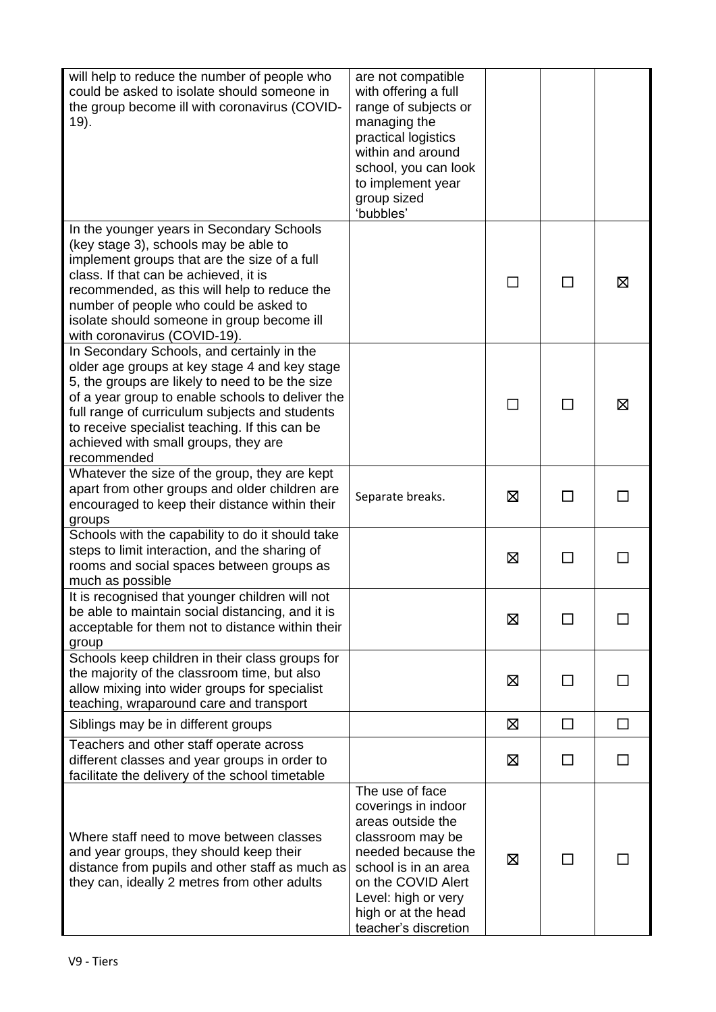| will help to reduce the number of people who<br>could be asked to isolate should someone in<br>the group become ill with coronavirus (COVID-<br>19).                                                                                                                                                                                                          | are not compatible<br>with offering a full<br>range of subjects or<br>managing the<br>practical logistics<br>within and around<br>school, you can look<br>to implement year<br>group sized<br>'bubbles'                   |   |    |   |
|---------------------------------------------------------------------------------------------------------------------------------------------------------------------------------------------------------------------------------------------------------------------------------------------------------------------------------------------------------------|---------------------------------------------------------------------------------------------------------------------------------------------------------------------------------------------------------------------------|---|----|---|
| In the younger years in Secondary Schools<br>(key stage 3), schools may be able to<br>implement groups that are the size of a full<br>class. If that can be achieved, it is<br>recommended, as this will help to reduce the<br>number of people who could be asked to<br>isolate should someone in group become ill<br>with coronavirus (COVID-19).           |                                                                                                                                                                                                                           |   |    | ⊠ |
| In Secondary Schools, and certainly in the<br>older age groups at key stage 4 and key stage<br>5, the groups are likely to need to be the size<br>of a year group to enable schools to deliver the<br>full range of curriculum subjects and students<br>to receive specialist teaching. If this can be<br>achieved with small groups, they are<br>recommended |                                                                                                                                                                                                                           |   |    | ⊠ |
| Whatever the size of the group, they are kept<br>apart from other groups and older children are<br>encouraged to keep their distance within their<br>groups                                                                                                                                                                                                   | Separate breaks.                                                                                                                                                                                                          | Ø | П  |   |
| Schools with the capability to do it should take<br>steps to limit interaction, and the sharing of<br>rooms and social spaces between groups as<br>much as possible                                                                                                                                                                                           |                                                                                                                                                                                                                           | 区 | ΙI |   |
| It is recognised that younger children will not<br>be able to maintain social distancing, and it is<br>acceptable for them not to distance within their<br>group                                                                                                                                                                                              |                                                                                                                                                                                                                           | X |    |   |
| Schools keep children in their class groups for<br>the majority of the classroom time, but also<br>allow mixing into wider groups for specialist<br>teaching, wraparound care and transport                                                                                                                                                                   |                                                                                                                                                                                                                           | ⊠ | ΙI |   |
| Siblings may be in different groups                                                                                                                                                                                                                                                                                                                           |                                                                                                                                                                                                                           | ⊠ | П  |   |
| Teachers and other staff operate across<br>different classes and year groups in order to<br>facilitate the delivery of the school timetable                                                                                                                                                                                                                   |                                                                                                                                                                                                                           | ⊠ | ΙI |   |
| Where staff need to move between classes<br>and year groups, they should keep their<br>distance from pupils and other staff as much as<br>they can, ideally 2 metres from other adults                                                                                                                                                                        | The use of face<br>coverings in indoor<br>areas outside the<br>classroom may be<br>needed because the<br>school is in an area<br>on the COVID Alert<br>Level: high or very<br>high or at the head<br>teacher's discretion | ⊠ | ΙI |   |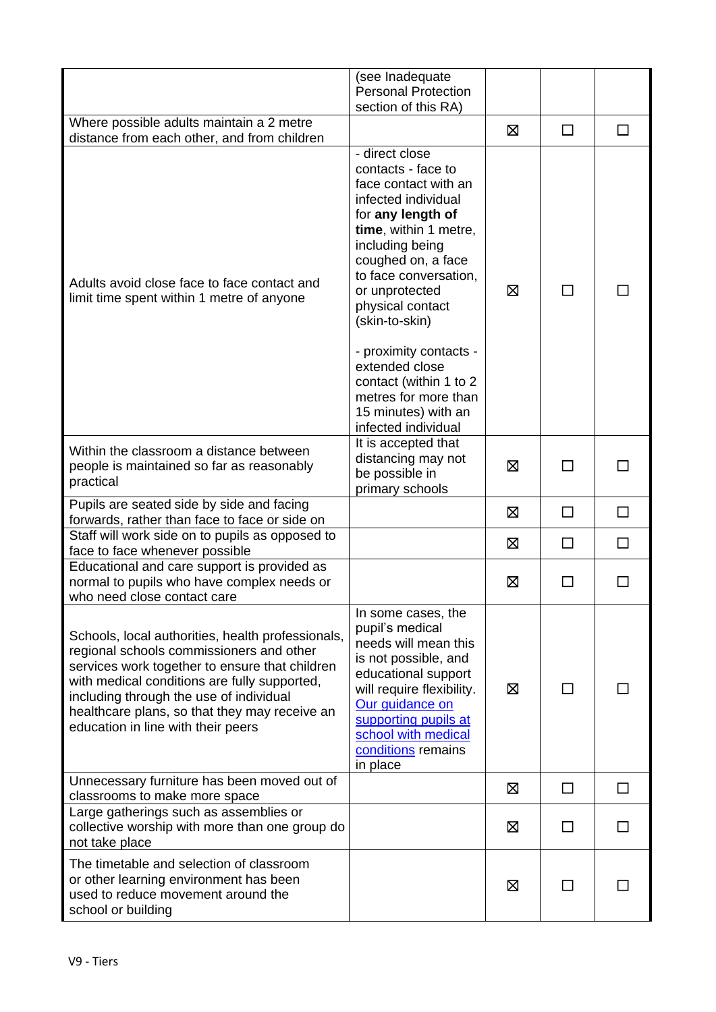|                                                                                                                                                                                                                                                                                                                                   | (see Inadequate<br><b>Personal Protection</b><br>section of this RA)                                                                                                                                                                                        |             |                                                  |              |
|-----------------------------------------------------------------------------------------------------------------------------------------------------------------------------------------------------------------------------------------------------------------------------------------------------------------------------------|-------------------------------------------------------------------------------------------------------------------------------------------------------------------------------------------------------------------------------------------------------------|-------------|--------------------------------------------------|--------------|
| Where possible adults maintain a 2 metre<br>distance from each other, and from children                                                                                                                                                                                                                                           |                                                                                                                                                                                                                                                             | ⊠           | $\Box$                                           | П            |
| Adults avoid close face to face contact and<br>limit time spent within 1 metre of anyone                                                                                                                                                                                                                                          | - direct close<br>contacts - face to<br>face contact with an<br>infected individual<br>for any length of<br>time, within 1 metre,<br>including being<br>coughed on, a face<br>to face conversation,<br>or unprotected<br>physical contact<br>(skin-to-skin) | ⊠           | ΙI<br>П<br>П<br>$\Box$<br>П<br>ΙI<br>$\Box$<br>П |              |
|                                                                                                                                                                                                                                                                                                                                   | - proximity contacts -<br>extended close<br>contact (within 1 to 2<br>metres for more than<br>15 minutes) with an<br>infected individual                                                                                                                    |             |                                                  |              |
| Within the classroom a distance between<br>people is maintained so far as reasonably<br>practical                                                                                                                                                                                                                                 | It is accepted that<br>distancing may not<br>be possible in<br>primary schools                                                                                                                                                                              | 区           |                                                  |              |
| Pupils are seated side by side and facing<br>forwards, rather than face to face or side on                                                                                                                                                                                                                                        |                                                                                                                                                                                                                                                             | $\boxtimes$ |                                                  |              |
| Staff will work side on to pupils as opposed to<br>face to face whenever possible                                                                                                                                                                                                                                                 |                                                                                                                                                                                                                                                             | ⊠           |                                                  | $\mathsf{L}$ |
| Educational and care support is provided as<br>normal to pupils who have complex needs or<br>who need close contact care                                                                                                                                                                                                          |                                                                                                                                                                                                                                                             | Ø           |                                                  |              |
| Schools, local authorities, health professionals,<br>regional schools commissioners and other<br>services work together to ensure that children<br>with medical conditions are fully supported,<br>including through the use of individual<br>healthcare plans, so that they may receive an<br>education in line with their peers | In some cases, the<br>pupil's medical<br>needs will mean this<br>is not possible, and<br>educational support<br>will require flexibility.<br>Our guidance on<br>supporting pupils at<br>school with medical<br>conditions remains<br>in place               | ⊠           |                                                  |              |
| Unnecessary furniture has been moved out of<br>classrooms to make more space                                                                                                                                                                                                                                                      |                                                                                                                                                                                                                                                             | Ø           |                                                  | $\mathsf{L}$ |
| Large gatherings such as assemblies or<br>collective worship with more than one group do<br>not take place                                                                                                                                                                                                                        |                                                                                                                                                                                                                                                             | 区           |                                                  | ΙI           |
| The timetable and selection of classroom<br>or other learning environment has been<br>used to reduce movement around the<br>school or building                                                                                                                                                                                    |                                                                                                                                                                                                                                                             | X           | ΙI                                               |              |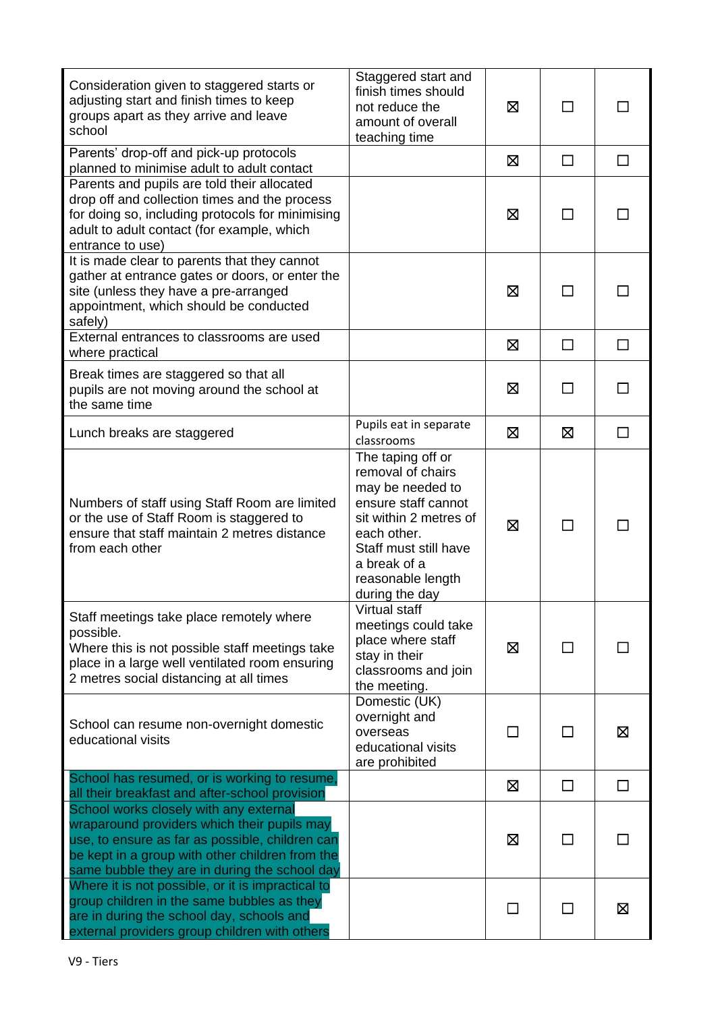| Consideration given to staggered starts or<br>adjusting start and finish times to keep<br>groups apart as they arrive and leave<br>school                                                                                                    | Staggered start and<br>finish times should<br>not reduce the<br>amount of overall<br>teaching time                                                                                                         | X       | $\Box$  |   |
|----------------------------------------------------------------------------------------------------------------------------------------------------------------------------------------------------------------------------------------------|------------------------------------------------------------------------------------------------------------------------------------------------------------------------------------------------------------|---------|---------|---|
| Parents' drop-off and pick-up protocols<br>planned to minimise adult to adult contact                                                                                                                                                        |                                                                                                                                                                                                            | ⊠       | $\Box$  | П |
| Parents and pupils are told their allocated<br>drop off and collection times and the process<br>for doing so, including protocols for minimising<br>adult to adult contact (for example, which<br>entrance to use)                           |                                                                                                                                                                                                            | ⊠       | П       |   |
| It is made clear to parents that they cannot<br>gather at entrance gates or doors, or enter the<br>site (unless they have a pre-arranged<br>appointment, which should be conducted<br>safely)                                                |                                                                                                                                                                                                            | 区       | $\perp$ |   |
| External entrances to classrooms are used<br>where practical                                                                                                                                                                                 |                                                                                                                                                                                                            | X       | $\Box$  | П |
| Break times are staggered so that all<br>pupils are not moving around the school at<br>the same time                                                                                                                                         |                                                                                                                                                                                                            | ⊠       | ΙI      |   |
| Lunch breaks are staggered                                                                                                                                                                                                                   | Pupils eat in separate<br>classrooms                                                                                                                                                                       | X       | Χ       |   |
| Numbers of staff using Staff Room are limited<br>or the use of Staff Room is staggered to<br>ensure that staff maintain 2 metres distance<br>from each other                                                                                 | The taping off or<br>removal of chairs<br>may be needed to<br>ensure staff cannot<br>sit within 2 metres of<br>each other.<br>Staff must still have<br>a break of a<br>reasonable length<br>during the day | X       | П       |   |
| Staff meetings take place remotely where<br>possible.<br>Where this is not possible staff meetings take<br>place in a large well ventilated room ensuring<br>2 metres social distancing at all times                                         | Virtual staff<br>meetings could take<br>place where staff<br>stay in their<br>classrooms and join<br>the meeting.                                                                                          | X       | $\Box$  |   |
| School can resume non-overnight domestic<br>educational visits                                                                                                                                                                               | Domestic (UK)<br>overnight and<br>overseas<br>educational visits<br>are prohibited                                                                                                                         | $\perp$ | $\Box$  | ⊠ |
| School has resumed, or is working to resume,<br>all their breakfast and after-school provision                                                                                                                                               |                                                                                                                                                                                                            | ⊠       | $\Box$  | □ |
| School works closely with any external<br>wraparound providers which their pupils may<br>use, to ensure as far as possible, children can<br>be kept in a group with other children from the<br>same bubble they are in during the school day |                                                                                                                                                                                                            | X       | $\Box$  |   |
| Where it is not possible, or it is impractical to<br>group children in the same bubbles as they<br>are in during the school day, schools and<br>external providers group children with others                                                |                                                                                                                                                                                                            |         | □       | 区 |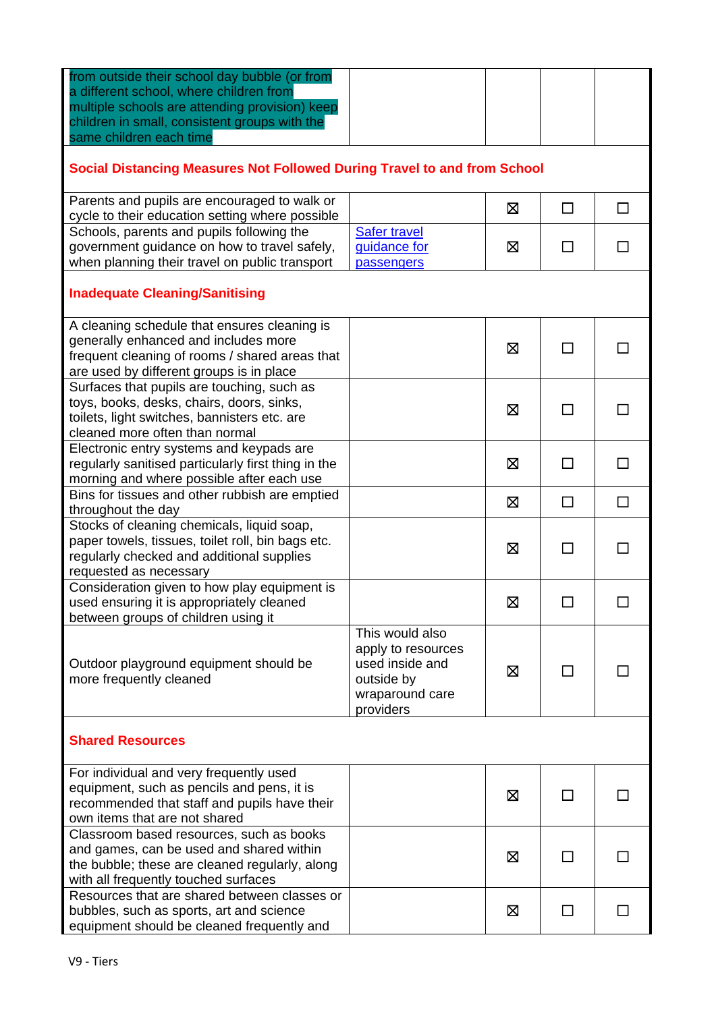| from outside their school day bubble (or from<br>a different school, where children from<br>multiple schools are attending provision) keep<br>children in small, consistent groups with the<br>same children each time |                     |   |              |              |  |
|------------------------------------------------------------------------------------------------------------------------------------------------------------------------------------------------------------------------|---------------------|---|--------------|--------------|--|
| Social Distancing Measures Not Followed During Travel to and from School                                                                                                                                               |                     |   |              |              |  |
| Parents and pupils are encouraged to walk or                                                                                                                                                                           |                     | X | $\Box$       | П            |  |
| cycle to their education setting where possible                                                                                                                                                                        |                     |   |              |              |  |
| Schools, parents and pupils following the                                                                                                                                                                              | <b>Safer travel</b> |   |              |              |  |
| government guidance on how to travel safely,                                                                                                                                                                           | guidance for        | ⊠ | $\Box$       | $\mathsf{L}$ |  |
| when planning their travel on public transport                                                                                                                                                                         | passengers          |   |              |              |  |
| <b>Inadequate Cleaning/Sanitising</b>                                                                                                                                                                                  |                     |   |              |              |  |
| A cleaning schedule that ensures cleaning is                                                                                                                                                                           |                     |   |              |              |  |
| generally enhanced and includes more                                                                                                                                                                                   |                     |   | П            |              |  |
| frequent cleaning of rooms / shared areas that                                                                                                                                                                         |                     | ⊠ |              |              |  |
| are used by different groups is in place                                                                                                                                                                               |                     |   |              |              |  |
| Surfaces that pupils are touching, such as                                                                                                                                                                             |                     |   |              |              |  |
| toys, books, desks, chairs, doors, sinks,                                                                                                                                                                              |                     | X | П            |              |  |
| toilets, light switches, bannisters etc. are                                                                                                                                                                           |                     |   |              |              |  |
| cleaned more often than normal                                                                                                                                                                                         |                     |   |              |              |  |
| Electronic entry systems and keypads are                                                                                                                                                                               |                     |   |              |              |  |
| regularly sanitised particularly first thing in the                                                                                                                                                                    |                     | Ø | П            | П            |  |
| morning and where possible after each use                                                                                                                                                                              |                     |   |              |              |  |
| Bins for tissues and other rubbish are emptied                                                                                                                                                                         |                     | X | □            | □            |  |
| throughout the day                                                                                                                                                                                                     |                     |   |              |              |  |
| Stocks of cleaning chemicals, liquid soap,                                                                                                                                                                             |                     |   |              |              |  |
| paper towels, tissues, toilet roll, bin bags etc.                                                                                                                                                                      |                     | ⊠ | $\Box$       | $\mathsf{L}$ |  |
| regularly checked and additional supplies                                                                                                                                                                              |                     |   |              |              |  |
| requested as necessary                                                                                                                                                                                                 |                     |   |              |              |  |
| Consideration given to how play equipment is                                                                                                                                                                           |                     |   |              |              |  |
| used ensuring it is appropriately cleaned                                                                                                                                                                              |                     | Ø | $\Box$       |              |  |
| between groups of children using it                                                                                                                                                                                    | This would also     |   |              |              |  |
|                                                                                                                                                                                                                        | apply to resources  |   |              |              |  |
| Outdoor playground equipment should be                                                                                                                                                                                 | used inside and     |   |              |              |  |
| more frequently cleaned                                                                                                                                                                                                | outside by          | X | $\mathsf{L}$ |              |  |
|                                                                                                                                                                                                                        | wraparound care     |   |              |              |  |
|                                                                                                                                                                                                                        | providers           |   |              |              |  |
| <b>Shared Resources</b>                                                                                                                                                                                                |                     |   |              |              |  |
| For individual and very frequently used                                                                                                                                                                                |                     |   |              |              |  |
| equipment, such as pencils and pens, it is                                                                                                                                                                             |                     | Χ | □            |              |  |
| recommended that staff and pupils have their                                                                                                                                                                           |                     |   |              |              |  |
| own items that are not shared                                                                                                                                                                                          |                     |   |              |              |  |
| Classroom based resources, such as books                                                                                                                                                                               |                     |   |              |              |  |
| and games, can be used and shared within                                                                                                                                                                               |                     | X | ΙI           |              |  |
| the bubble; these are cleaned regularly, along                                                                                                                                                                         |                     |   |              |              |  |
| with all frequently touched surfaces                                                                                                                                                                                   |                     |   |              |              |  |
| Resources that are shared between classes or                                                                                                                                                                           |                     |   |              |              |  |
| bubbles, such as sports, art and science                                                                                                                                                                               |                     | Ø | $\Box$       |              |  |
| equipment should be cleaned frequently and                                                                                                                                                                             |                     |   |              |              |  |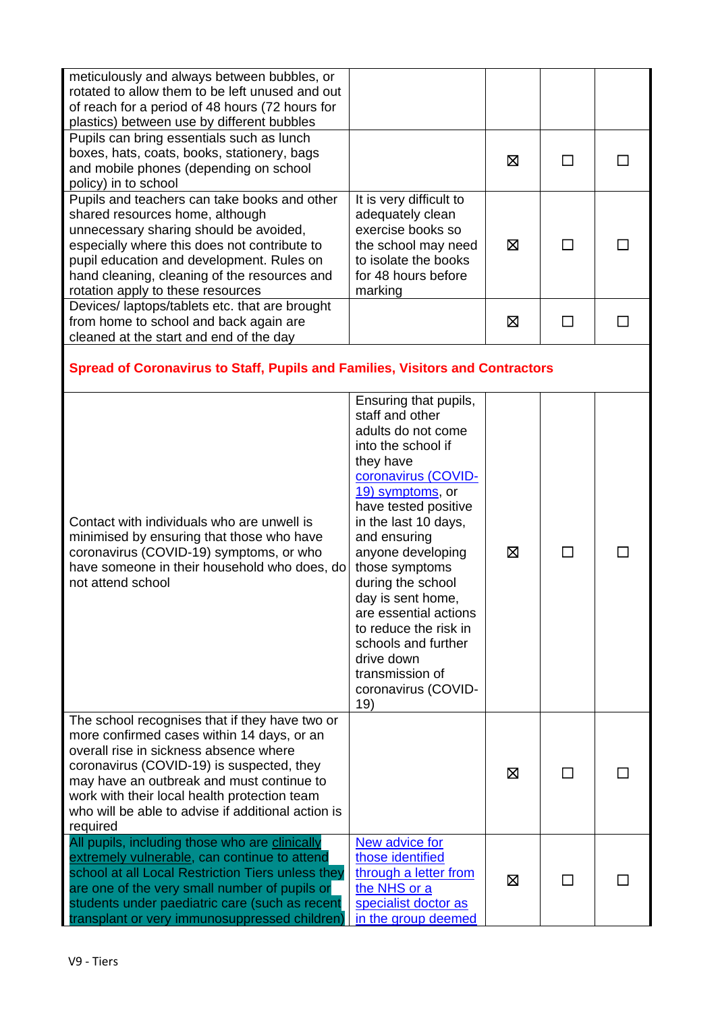| meticulously and always between bubbles, or<br>rotated to allow them to be left unused and out<br>of reach for a period of 48 hours (72 hours for<br>plastics) between use by different bubbles                                                                                                                                                    |                                                                                                                                                                                                                                                                                                                                                                                                                                       |             |        |         |
|----------------------------------------------------------------------------------------------------------------------------------------------------------------------------------------------------------------------------------------------------------------------------------------------------------------------------------------------------|---------------------------------------------------------------------------------------------------------------------------------------------------------------------------------------------------------------------------------------------------------------------------------------------------------------------------------------------------------------------------------------------------------------------------------------|-------------|--------|---------|
| Pupils can bring essentials such as lunch<br>boxes, hats, coats, books, stationery, bags<br>and mobile phones (depending on school<br>policy) in to school                                                                                                                                                                                         |                                                                                                                                                                                                                                                                                                                                                                                                                                       | $\boxtimes$ | П      |         |
| Pupils and teachers can take books and other<br>shared resources home, although<br>unnecessary sharing should be avoided,<br>especially where this does not contribute to<br>pupil education and development. Rules on<br>hand cleaning, cleaning of the resources and<br>rotation apply to these resources                                        | It is very difficult to<br>adequately clean<br>exercise books so<br>the school may need<br>to isolate the books<br>for 48 hours before<br>marking                                                                                                                                                                                                                                                                                     | X           | П      |         |
| Devices/ laptops/tablets etc. that are brought<br>from home to school and back again are<br>cleaned at the start and end of the day                                                                                                                                                                                                                |                                                                                                                                                                                                                                                                                                                                                                                                                                       | 区           | $\Box$ | $\perp$ |
| <b>Spread of Coronavirus to Staff, Pupils and Families, Visitors and Contractors</b>                                                                                                                                                                                                                                                               |                                                                                                                                                                                                                                                                                                                                                                                                                                       |             |        |         |
| Contact with individuals who are unwell is<br>minimised by ensuring that those who have<br>coronavirus (COVID-19) symptoms, or who<br>have someone in their household who does, do<br>not attend school                                                                                                                                            | Ensuring that pupils,<br>staff and other<br>adults do not come<br>into the school if<br>they have<br>coronavirus (COVID-<br>19) symptoms, or<br>have tested positive<br>in the last 10 days,<br>and ensuring<br>anyone developing<br>those symptoms<br>during the school<br>day is sent home,<br>are essential actions<br>to reduce the risk in<br>schools and further<br>drive down<br>transmission of<br>coronavirus (COVID-<br>19) | ⊠           | П      |         |
| The school recognises that if they have two or<br>more confirmed cases within 14 days, or an<br>overall rise in sickness absence where<br>coronavirus (COVID-19) is suspected, they<br>may have an outbreak and must continue to<br>work with their local health protection team<br>who will be able to advise if additional action is<br>required |                                                                                                                                                                                                                                                                                                                                                                                                                                       | ⊠           | ΙI     |         |
| All pupils, including those who are clinically<br>extremely vulnerable, can continue to attend<br>school at all Local Restriction Tiers unless they<br>are one of the very small number of pupils or<br>students under paediatric care (such as recent                                                                                             | New advice for<br>those identified<br>through a letter from<br>the NHS or a<br>specialist doctor as                                                                                                                                                                                                                                                                                                                                   | ⊠           |        |         |

in the group deemed

transplant or very immunosuppressed children)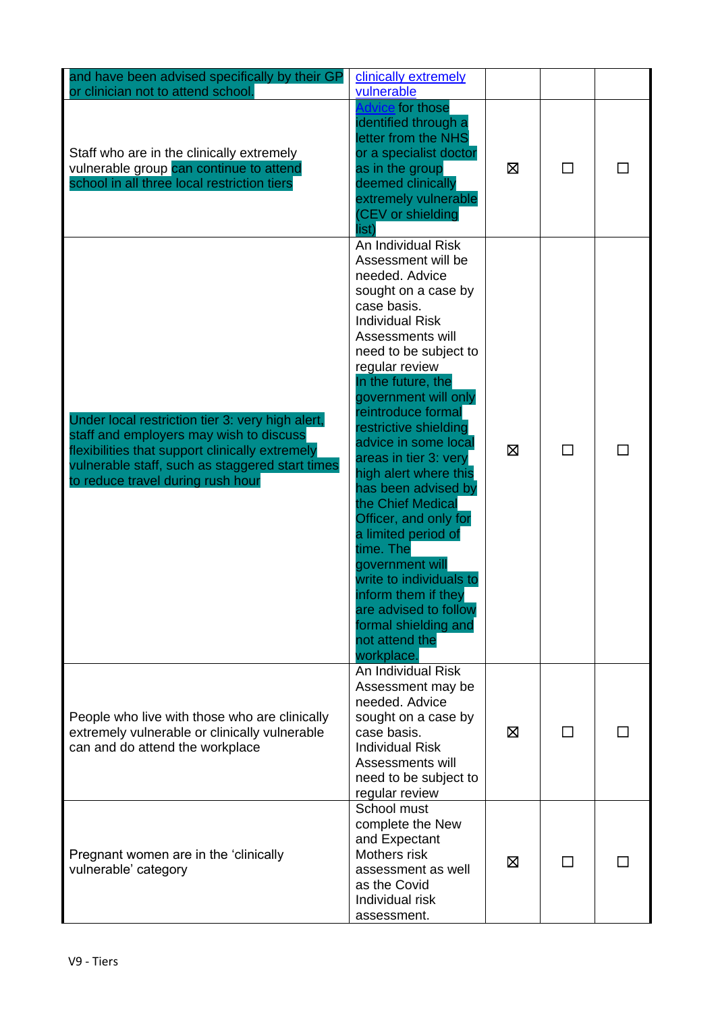| and have been advised specifically by their GP<br>or clinician not to attend school.                                                                                                                                                   | clinically extremely<br>vulnerable                                                                                                                                                                                                                                                                                                                                                                                                                                                                                                                                                                                              |   |   |  |
|----------------------------------------------------------------------------------------------------------------------------------------------------------------------------------------------------------------------------------------|---------------------------------------------------------------------------------------------------------------------------------------------------------------------------------------------------------------------------------------------------------------------------------------------------------------------------------------------------------------------------------------------------------------------------------------------------------------------------------------------------------------------------------------------------------------------------------------------------------------------------------|---|---|--|
| Staff who are in the clinically extremely<br>vulnerable group can continue to attend<br>school in all three local restriction tiers                                                                                                    | dvice for those<br>identified through a<br>letter from the NHS<br>or a specialist doctor<br>as in the group<br>deemed clinically<br>extremely vulnerable<br>(CEV or shielding<br>list)                                                                                                                                                                                                                                                                                                                                                                                                                                          | X | П |  |
| Under local restriction tier 3: very high alert,<br>staff and employers may wish to discuss<br>flexibilities that support clinically extremely<br>vulnerable staff, such as staggered start times<br>to reduce travel during rush hour | An Individual Risk<br>Assessment will be<br>needed. Advice<br>sought on a case by<br>case basis.<br><b>Individual Risk</b><br>Assessments will<br>need to be subject to<br>regular review<br>In the future, the<br>government will only<br>reintroduce formal<br>restrictive shielding<br>advice in some local<br>areas in tier 3: very<br>high alert where this<br>has been advised by<br>the Chief Medical<br>Officer, and only for<br>a limited period of<br>time. The<br>government will<br>write to individuals to<br>inform them if they<br>are advised to follow<br>formal shielding and<br>not attend the<br>workplace. | X | П |  |
| People who live with those who are clinically<br>extremely vulnerable or clinically vulnerable<br>can and do attend the workplace                                                                                                      | An Individual Risk<br>Assessment may be<br>needed. Advice<br>sought on a case by<br>case basis.<br><b>Individual Risk</b><br>Assessments will<br>need to be subject to<br>regular review                                                                                                                                                                                                                                                                                                                                                                                                                                        | ⊠ | П |  |
| Pregnant women are in the 'clinically<br>vulnerable' category                                                                                                                                                                          | School must<br>complete the New<br>and Expectant<br>Mothers risk<br>assessment as well<br>as the Covid<br>Individual risk<br>assessment.                                                                                                                                                                                                                                                                                                                                                                                                                                                                                        | ⊠ | П |  |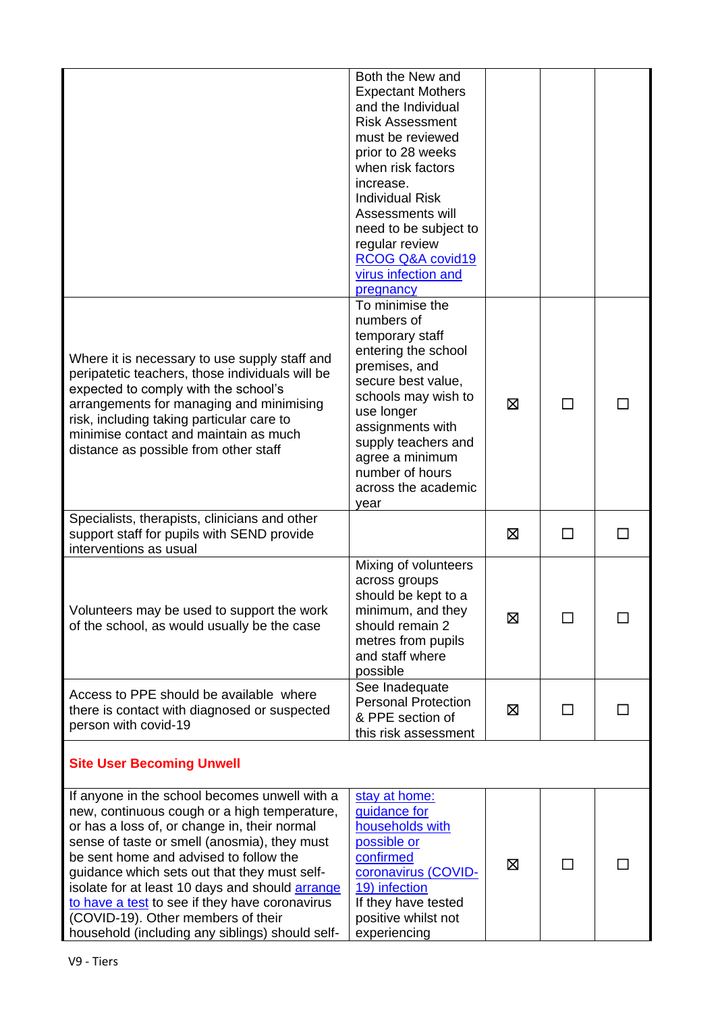|                                                                                                                                                                                                                                                                                                                                                                                                                                                                                              | Both the New and<br><b>Expectant Mothers</b><br>and the Individual<br><b>Risk Assessment</b><br>must be reviewed<br>prior to 28 weeks<br>when risk factors<br>increase.<br><b>Individual Risk</b><br>Assessments will<br>need to be subject to<br>regular review<br>RCOG Q&A covid19<br>virus infection and<br>pregnancy |             |    |  |
|----------------------------------------------------------------------------------------------------------------------------------------------------------------------------------------------------------------------------------------------------------------------------------------------------------------------------------------------------------------------------------------------------------------------------------------------------------------------------------------------|--------------------------------------------------------------------------------------------------------------------------------------------------------------------------------------------------------------------------------------------------------------------------------------------------------------------------|-------------|----|--|
| Where it is necessary to use supply staff and<br>peripatetic teachers, those individuals will be<br>expected to comply with the school's<br>arrangements for managing and minimising<br>risk, including taking particular care to<br>minimise contact and maintain as much<br>distance as possible from other staff                                                                                                                                                                          | To minimise the<br>numbers of<br>temporary staff<br>entering the school<br>premises, and<br>secure best value,<br>schools may wish to<br>use longer<br>assignments with<br>supply teachers and<br>agree a minimum<br>number of hours<br>across the academic<br>year                                                      | X           | П  |  |
| Specialists, therapists, clinicians and other<br>support staff for pupils with SEND provide<br>interventions as usual                                                                                                                                                                                                                                                                                                                                                                        |                                                                                                                                                                                                                                                                                                                          | ⊠           | ΙI |  |
| Volunteers may be used to support the work<br>of the school, as would usually be the case                                                                                                                                                                                                                                                                                                                                                                                                    | Mixing of volunteers<br>across groups<br>should be kept to a<br>minimum, and they<br>should remain 2<br>metres from pupils<br>and staff where<br>possible                                                                                                                                                                | Ø           |    |  |
| Access to PPE should be available where<br>there is contact with diagnosed or suspected<br>person with covid-19                                                                                                                                                                                                                                                                                                                                                                              | See Inadequate<br><b>Personal Protection</b><br>& PPE section of<br>this risk assessment                                                                                                                                                                                                                                 | X           | П  |  |
| <b>Site User Becoming Unwell</b>                                                                                                                                                                                                                                                                                                                                                                                                                                                             |                                                                                                                                                                                                                                                                                                                          |             |    |  |
| If anyone in the school becomes unwell with a<br>new, continuous cough or a high temperature,<br>or has a loss of, or change in, their normal<br>sense of taste or smell (anosmia), they must<br>be sent home and advised to follow the<br>guidance which sets out that they must self-<br>isolate for at least 10 days and should <b>arrange</b><br>to have a test to see if they have coronavirus<br>(COVID-19). Other members of their<br>household (including any siblings) should self- | stay at home:<br>guidance for<br>households with<br>possible or<br>confirmed<br>coronavirus (COVID-<br>19) infection<br>If they have tested<br>positive whilst not<br>experiencing                                                                                                                                       | $\boxtimes$ |    |  |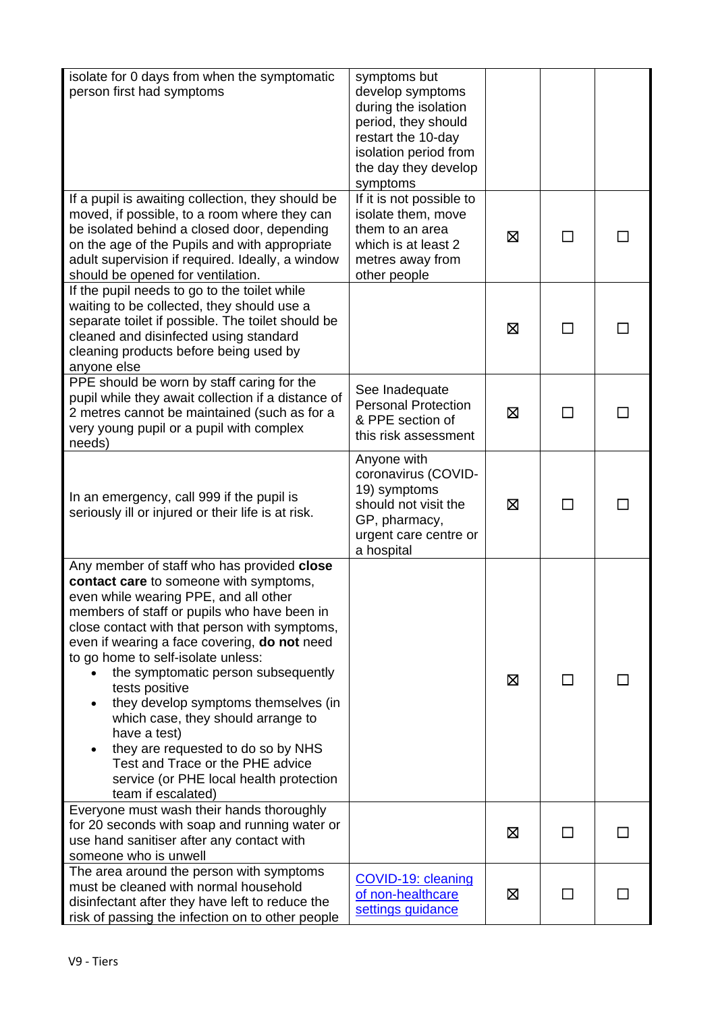| isolate for 0 days from when the symptomatic<br>person first had symptoms                                                                                                                                                                                                                                                                                                                                                                                                                                                                                                                                                  | symptoms but<br>develop symptoms<br>during the isolation<br>period, they should<br>restart the 10-day<br>isolation period from<br>the day they develop<br>symptoms |   |              |  |
|----------------------------------------------------------------------------------------------------------------------------------------------------------------------------------------------------------------------------------------------------------------------------------------------------------------------------------------------------------------------------------------------------------------------------------------------------------------------------------------------------------------------------------------------------------------------------------------------------------------------------|--------------------------------------------------------------------------------------------------------------------------------------------------------------------|---|--------------|--|
| If a pupil is awaiting collection, they should be<br>moved, if possible, to a room where they can<br>be isolated behind a closed door, depending<br>on the age of the Pupils and with appropriate<br>adult supervision if required. Ideally, a window<br>should be opened for ventilation.                                                                                                                                                                                                                                                                                                                                 | If it is not possible to<br>isolate them, move<br>them to an area<br>which is at least 2<br>metres away from<br>other people                                       | X |              |  |
| If the pupil needs to go to the toilet while<br>waiting to be collected, they should use a<br>separate toilet if possible. The toilet should be<br>cleaned and disinfected using standard<br>cleaning products before being used by<br>anyone else                                                                                                                                                                                                                                                                                                                                                                         |                                                                                                                                                                    | ⊠ | ΙI           |  |
| PPE should be worn by staff caring for the<br>pupil while they await collection if a distance of<br>2 metres cannot be maintained (such as for a<br>very young pupil or a pupil with complex<br>needs)                                                                                                                                                                                                                                                                                                                                                                                                                     | See Inadequate<br><b>Personal Protection</b><br>& PPE section of<br>this risk assessment                                                                           | 区 | $\mathsf{L}$ |  |
| In an emergency, call 999 if the pupil is<br>seriously ill or injured or their life is at risk.                                                                                                                                                                                                                                                                                                                                                                                                                                                                                                                            | Anyone with<br>coronavirus (COVID-<br>19) symptoms<br>should not visit the<br>GP, pharmacy,<br>urgent care centre or<br>a hospital                                 | ⊠ |              |  |
| Any member of staff who has provided close<br>contact care to someone with symptoms,<br>even while wearing PPE, and all other<br>members of staff or pupils who have been in<br>close contact with that person with symptoms,<br>even if wearing a face covering, do not need<br>to go home to self-isolate unless:<br>the symptomatic person subsequently<br>tests positive<br>they develop symptoms themselves (in<br>٠<br>which case, they should arrange to<br>have a test)<br>they are requested to do so by NHS<br>Test and Trace or the PHE advice<br>service (or PHE local health protection<br>team if escalated) |                                                                                                                                                                    | X | ΙI           |  |
| Everyone must wash their hands thoroughly<br>for 20 seconds with soap and running water or<br>use hand sanitiser after any contact with<br>someone who is unwell                                                                                                                                                                                                                                                                                                                                                                                                                                                           |                                                                                                                                                                    | 区 | $\perp$      |  |
| The area around the person with symptoms<br>must be cleaned with normal household<br>disinfectant after they have left to reduce the<br>risk of passing the infection on to other people                                                                                                                                                                                                                                                                                                                                                                                                                                   | COVID-19: cleaning<br>of non-healthcare<br>settings guidance                                                                                                       | Σ |              |  |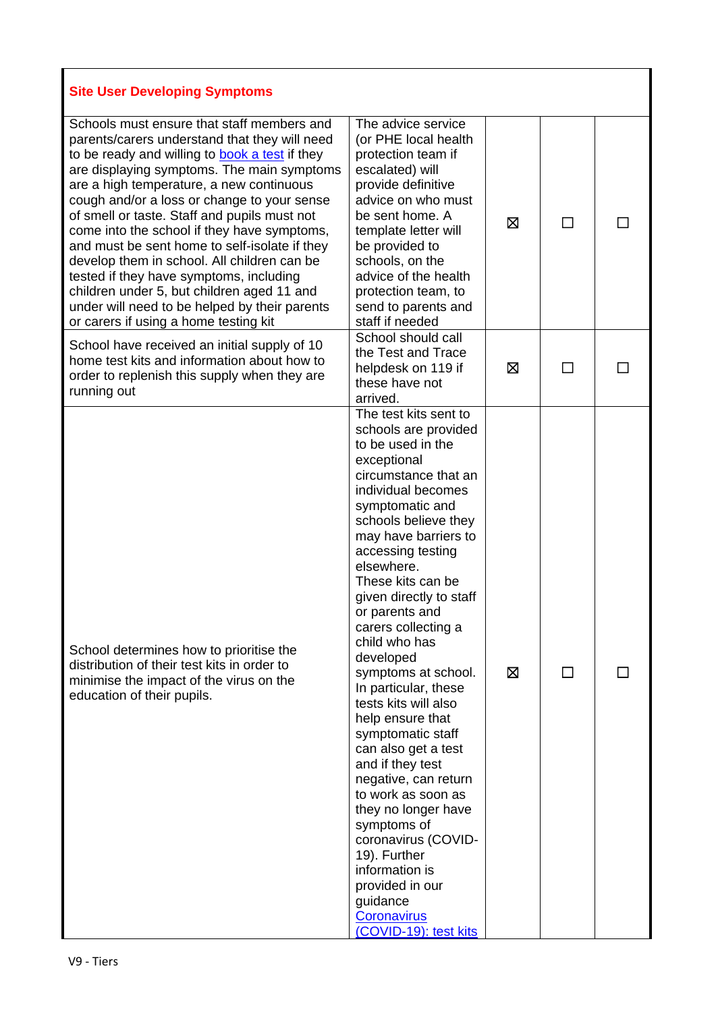| <b>Site User Developing Symptoms</b>                                                                                                                                                                                                                                                                                                                                                                                                                                                                                                                                                                                                                                     |                                                                                                                                                                                                                                                                                                                                                                                                                                                                                                                                                                                                                                                                                                                                             |   |              |  |
|--------------------------------------------------------------------------------------------------------------------------------------------------------------------------------------------------------------------------------------------------------------------------------------------------------------------------------------------------------------------------------------------------------------------------------------------------------------------------------------------------------------------------------------------------------------------------------------------------------------------------------------------------------------------------|---------------------------------------------------------------------------------------------------------------------------------------------------------------------------------------------------------------------------------------------------------------------------------------------------------------------------------------------------------------------------------------------------------------------------------------------------------------------------------------------------------------------------------------------------------------------------------------------------------------------------------------------------------------------------------------------------------------------------------------------|---|--------------|--|
| Schools must ensure that staff members and<br>parents/carers understand that they will need<br>to be ready and willing to book a test if they<br>are displaying symptoms. The main symptoms<br>are a high temperature, a new continuous<br>cough and/or a loss or change to your sense<br>of smell or taste. Staff and pupils must not<br>come into the school if they have symptoms,<br>and must be sent home to self-isolate if they<br>develop them in school. All children can be<br>tested if they have symptoms, including<br>children under 5, but children aged 11 and<br>under will need to be helped by their parents<br>or carers if using a home testing kit | The advice service<br>(or PHE local health<br>protection team if<br>escalated) will<br>provide definitive<br>advice on who must<br>be sent home. A<br>template letter will<br>be provided to<br>schools, on the<br>advice of the health<br>protection team, to<br>send to parents and<br>staff if needed                                                                                                                                                                                                                                                                                                                                                                                                                                    | X | $\Box$       |  |
| School have received an initial supply of 10<br>home test kits and information about how to<br>order to replenish this supply when they are<br>running out                                                                                                                                                                                                                                                                                                                                                                                                                                                                                                               | School should call<br>the Test and Trace<br>helpdesk on 119 if<br>these have not<br>arrived.                                                                                                                                                                                                                                                                                                                                                                                                                                                                                                                                                                                                                                                | X | ΙI           |  |
| School determines how to prioritise the<br>distribution of their test kits in order to<br>minimise the impact of the virus on the<br>education of their pupils.                                                                                                                                                                                                                                                                                                                                                                                                                                                                                                          | The test kits sent to<br>schools are provided<br>to be used in the<br>exceptional<br>circumstance that an<br>individual becomes<br>symptomatic and<br>schools believe they<br>may have barriers to<br>accessing testing<br>elsewhere.<br>These kits can be<br>given directly to staff<br>or parents and<br>carers collecting a<br>child who has<br>developed<br>symptoms at school.<br>In particular, these<br>tests kits will also<br>help ensure that<br>symptomatic staff<br>can also get a test<br>and if they test<br>negative, can return<br>to work as soon as<br>they no longer have<br>symptoms of<br>coronavirus (COVID-<br>19). Further<br>information is<br>provided in our<br>guidance<br>Coronavirus<br>(COVID-19): test kits | ⊠ | $\mathsf{L}$ |  |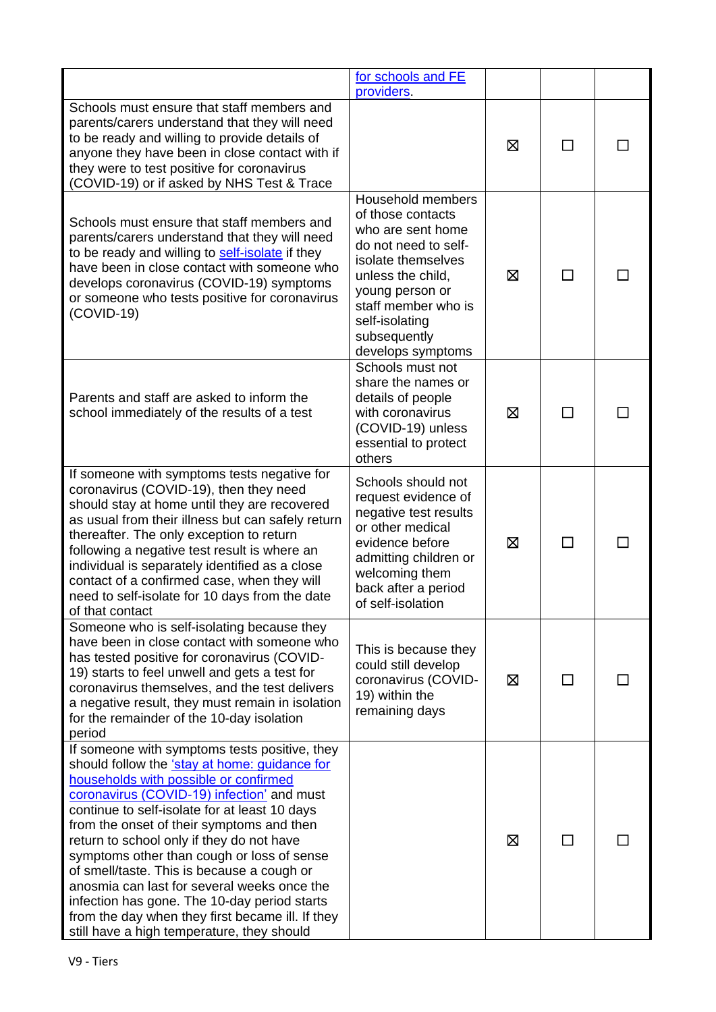|                                                                                                                                                                                                                                                                                                                                                                                                                                                                                                                                                                                                                               | for schools and FE                                                                                                                                                                                                              |   |    |  |
|-------------------------------------------------------------------------------------------------------------------------------------------------------------------------------------------------------------------------------------------------------------------------------------------------------------------------------------------------------------------------------------------------------------------------------------------------------------------------------------------------------------------------------------------------------------------------------------------------------------------------------|---------------------------------------------------------------------------------------------------------------------------------------------------------------------------------------------------------------------------------|---|----|--|
| Schools must ensure that staff members and<br>parents/carers understand that they will need<br>to be ready and willing to provide details of<br>anyone they have been in close contact with if<br>they were to test positive for coronavirus<br>(COVID-19) or if asked by NHS Test & Trace                                                                                                                                                                                                                                                                                                                                    | providers.                                                                                                                                                                                                                      | ⊠ |    |  |
| Schools must ensure that staff members and<br>parents/carers understand that they will need<br>to be ready and willing to self-isolate if they<br>have been in close contact with someone who<br>develops coronavirus (COVID-19) symptoms<br>or someone who tests positive for coronavirus<br>$(COVID-19)$                                                                                                                                                                                                                                                                                                                    | Household members<br>of those contacts<br>who are sent home<br>do not need to self-<br>isolate themselves<br>unless the child,<br>young person or<br>staff member who is<br>self-isolating<br>subsequently<br>develops symptoms | ⊠ | ΙI |  |
| Parents and staff are asked to inform the<br>school immediately of the results of a test                                                                                                                                                                                                                                                                                                                                                                                                                                                                                                                                      | Schools must not<br>share the names or<br>details of people<br>with coronavirus<br>(COVID-19) unless<br>essential to protect<br>others                                                                                          | ⊠ | ΙI |  |
| If someone with symptoms tests negative for<br>coronavirus (COVID-19), then they need<br>should stay at home until they are recovered<br>as usual from their illness but can safely return<br>thereafter. The only exception to return<br>following a negative test result is where an<br>individual is separately identified as a close<br>contact of a confirmed case, when they will<br>need to self-isolate for 10 days from the date<br>of that contact                                                                                                                                                                  | Schools should not<br>request evidence of<br>negative test results<br>or other medical<br>evidence before<br>admitting children or<br>welcoming them<br>back after a period<br>of self-isolation                                | X | ΙI |  |
| Someone who is self-isolating because they<br>have been in close contact with someone who<br>has tested positive for coronavirus (COVID-<br>19) starts to feel unwell and gets a test for<br>coronavirus themselves, and the test delivers<br>a negative result, they must remain in isolation<br>for the remainder of the 10-day isolation<br>period                                                                                                                                                                                                                                                                         | This is because they<br>could still develop<br>coronavirus (COVID-<br>19) within the<br>remaining days                                                                                                                          | Ø | П  |  |
| If someone with symptoms tests positive, they<br>should follow the 'stay at home: guidance for<br>households with possible or confirmed<br>coronavirus (COVID-19) infection' and must<br>continue to self-isolate for at least 10 days<br>from the onset of their symptoms and then<br>return to school only if they do not have<br>symptoms other than cough or loss of sense<br>of smell/taste. This is because a cough or<br>anosmia can last for several weeks once the<br>infection has gone. The 10-day period starts<br>from the day when they first became ill. If they<br>still have a high temperature, they should |                                                                                                                                                                                                                                 | ⊠ | ΙI |  |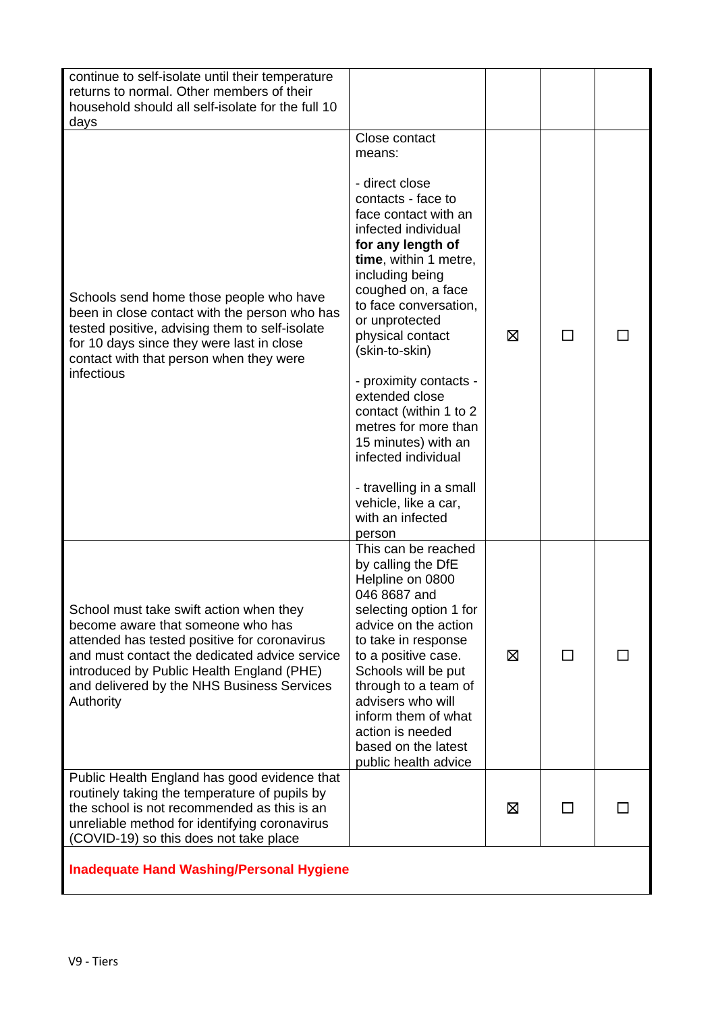| continue to self-isolate until their temperature<br>returns to normal. Other members of their<br>household should all self-isolate for the full 10<br>days                                                                                                                            |                                                                                                                                                                                                                                                                                                                                                                                                                                                                                                                     |   |  |
|---------------------------------------------------------------------------------------------------------------------------------------------------------------------------------------------------------------------------------------------------------------------------------------|---------------------------------------------------------------------------------------------------------------------------------------------------------------------------------------------------------------------------------------------------------------------------------------------------------------------------------------------------------------------------------------------------------------------------------------------------------------------------------------------------------------------|---|--|
| Schools send home those people who have<br>been in close contact with the person who has<br>tested positive, advising them to self-isolate<br>for 10 days since they were last in close<br>contact with that person when they were<br>infectious                                      | Close contact<br>means:<br>- direct close<br>contacts - face to<br>face contact with an<br>infected individual<br>for any length of<br>time, within 1 metre,<br>including being<br>coughed on, a face<br>to face conversation,<br>or unprotected<br>physical contact<br>(skin-to-skin)<br>- proximity contacts -<br>extended close<br>contact (within 1 to 2<br>metres for more than<br>15 minutes) with an<br>infected individual<br>- travelling in a small<br>vehicle, like a car,<br>with an infected<br>person | ⊠ |  |
| School must take swift action when they<br>become aware that someone who has<br>attended has tested positive for coronavirus<br>and must contact the dedicated advice service<br>introduced by Public Health England (PHE)<br>and delivered by the NHS Business Services<br>Authority | This can be reached<br>by calling the DfE<br>Helpline on 0800<br>046 8687 and<br>selecting option 1 for<br>advice on the action<br>to take in response<br>to a positive case.<br>Schools will be put<br>through to a team of<br>advisers who will<br>inform them of what<br>action is needed<br>based on the latest<br>public health advice                                                                                                                                                                         | X |  |
| Public Health England has good evidence that<br>routinely taking the temperature of pupils by<br>the school is not recommended as this is an<br>unreliable method for identifying coronavirus<br>(COVID-19) so this does not take place                                               |                                                                                                                                                                                                                                                                                                                                                                                                                                                                                                                     | ⊠ |  |
| <b>Inadequate Hand Washing/Personal Hygiene</b>                                                                                                                                                                                                                                       |                                                                                                                                                                                                                                                                                                                                                                                                                                                                                                                     |   |  |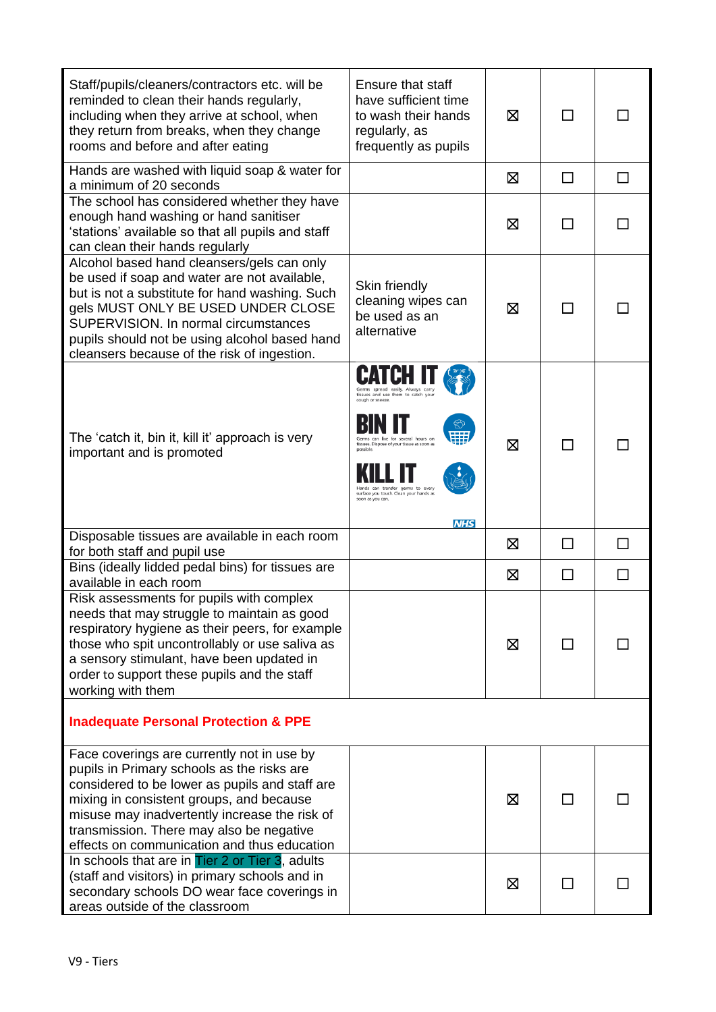| Staff/pupils/cleaners/contractors etc. will be<br>reminded to clean their hands regularly,<br>including when they arrive at school, when<br>they return from breaks, when they change<br>rooms and before and after eating                                                                                                         | <b>Ensure that staff</b><br>have sufficient time<br>to wash their hands<br>regularly, as<br>frequently as pupils                                                                                                                            | X           | ΙI           |              |
|------------------------------------------------------------------------------------------------------------------------------------------------------------------------------------------------------------------------------------------------------------------------------------------------------------------------------------|---------------------------------------------------------------------------------------------------------------------------------------------------------------------------------------------------------------------------------------------|-------------|--------------|--------------|
| Hands are washed with liquid soap & water for<br>a minimum of 20 seconds                                                                                                                                                                                                                                                           |                                                                                                                                                                                                                                             | ⊠           | $\Box$       | П            |
| The school has considered whether they have<br>enough hand washing or hand sanitiser<br>'stations' available so that all pupils and staff<br>can clean their hands regularly                                                                                                                                                       |                                                                                                                                                                                                                                             | X           | $\sim$       |              |
| Alcohol based hand cleansers/gels can only<br>be used if soap and water are not available,<br>but is not a substitute for hand washing. Such<br>gels MUST ONLY BE USED UNDER CLOSE<br>SUPERVISION. In normal circumstances<br>pupils should not be using alcohol based hand<br>cleansers because of the risk of ingestion.         | Skin friendly<br>cleaning wipes can<br>be used as an<br>alternative                                                                                                                                                                         | X           | $\mathsf{L}$ |              |
| The 'catch it, bin it, kill it' approach is very<br>important and is promoted                                                                                                                                                                                                                                                      | tissues and use them to catch you<br>cough or sneeze<br>for several hours or<br>tissues. Dispose of your tissue as soon as<br>Hands can transfer germs to every<br>surface you touch. Clean your hands as<br>soon as you can.<br><b>NHS</b> | $\boxtimes$ | П            |              |
| Disposable tissues are available in each room<br>for both staff and pupil use                                                                                                                                                                                                                                                      |                                                                                                                                                                                                                                             | ⊠           | $\Box$       | $\mathsf{L}$ |
| Bins (ideally lidded pedal bins) for tissues are<br>available in each room                                                                                                                                                                                                                                                         |                                                                                                                                                                                                                                             | ⊠           | $\Box$       | ΙI           |
| Risk assessments for pupils with complex<br>needs that may struggle to maintain as good<br>respiratory hygiene as their peers, for example<br>those who spit uncontrollably or use saliva as<br>a sensory stimulant, have been updated in<br>order to support these pupils and the staff<br>working with them                      |                                                                                                                                                                                                                                             | ⊠           |              |              |
| <b>Inadequate Personal Protection &amp; PPE</b>                                                                                                                                                                                                                                                                                    |                                                                                                                                                                                                                                             |             |              |              |
| Face coverings are currently not in use by<br>pupils in Primary schools as the risks are<br>considered to be lower as pupils and staff are<br>mixing in consistent groups, and because<br>misuse may inadvertently increase the risk of<br>transmission. There may also be negative<br>effects on communication and thus education |                                                                                                                                                                                                                                             | X           |              |              |
| In schools that are in Tier 2 or Tier 3, adults<br>(staff and visitors) in primary schools and in<br>secondary schools DO wear face coverings in<br>areas outside of the classroom                                                                                                                                                 |                                                                                                                                                                                                                                             | 区           | $\mathbf{I}$ |              |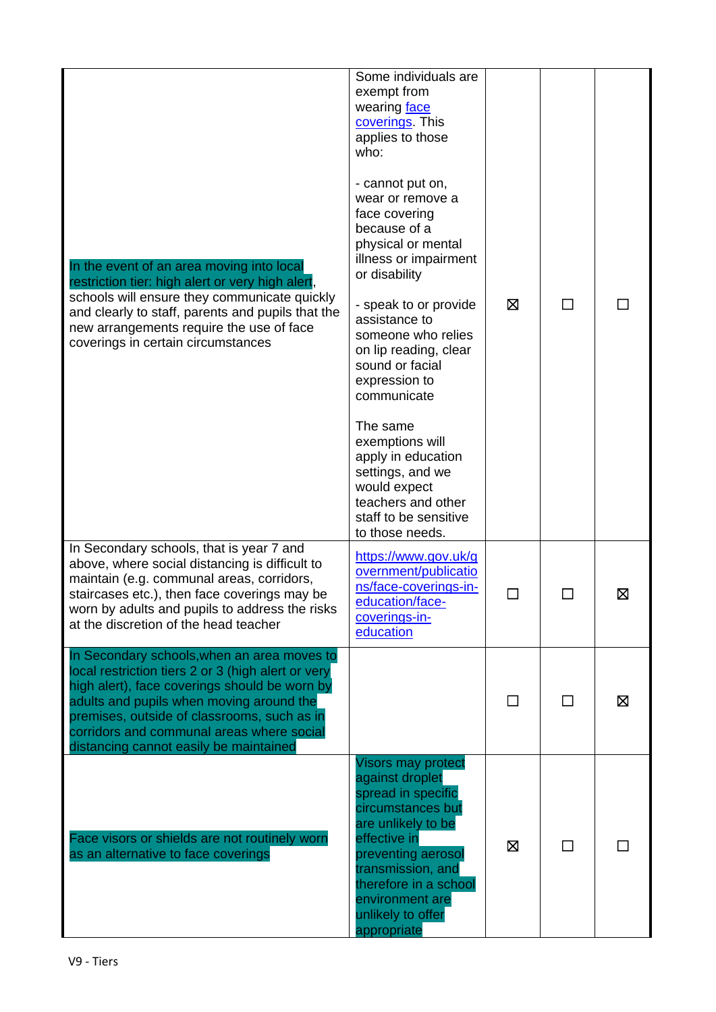| In the event of an area moving into local<br>restriction tier: high alert or very high alert<br>schools will ensure they communicate quickly<br>and clearly to staff, parents and pupils that the<br>new arrangements require the use of face<br>coverings in certain circumstances                                                  | Some individuals are<br>exempt from<br>wearing face<br>coverings. This<br>applies to those<br>who:<br>- cannot put on,<br>wear or remove a<br>face covering<br>because of a<br>physical or mental<br>illness or impairment<br>or disability<br>- speak to or provide<br>assistance to<br>someone who relies<br>on lip reading, clear<br>sound or facial<br>expression to<br>communicate<br>The same<br>exemptions will<br>apply in education<br>settings, and we<br>would expect<br>teachers and other<br>staff to be sensitive<br>to those needs. | ⊠            | ΙI           |   |
|--------------------------------------------------------------------------------------------------------------------------------------------------------------------------------------------------------------------------------------------------------------------------------------------------------------------------------------|----------------------------------------------------------------------------------------------------------------------------------------------------------------------------------------------------------------------------------------------------------------------------------------------------------------------------------------------------------------------------------------------------------------------------------------------------------------------------------------------------------------------------------------------------|--------------|--------------|---|
| In Secondary schools, that is year 7 and<br>above, where social distancing is difficult to<br>maintain (e.g. communal areas, corridors,<br>staircases etc.), then face coverings may be<br>worn by adults and pupils to address the risks<br>at the discretion of the head teacher                                                   | https://www.gov.uk/g<br>overnment/publicatio<br>ns/face-coverings-in-<br>education/face-<br>coverings-in-<br>education                                                                                                                                                                                                                                                                                                                                                                                                                             | $\mathsf{L}$ | $\mathbf{L}$ | ⊠ |
| In Secondary schools, when an area moves to<br>local restriction tiers 2 or 3 (high alert or very<br>high alert), face coverings should be worn by<br>adults and pupils when moving around the<br>premises, outside of classrooms, such as in<br>corridors and communal areas where social<br>distancing cannot easily be maintained |                                                                                                                                                                                                                                                                                                                                                                                                                                                                                                                                                    |              | ΙI           | ⊠ |
| Face visors or shields are not routinely worn<br>as an alternative to face coverings                                                                                                                                                                                                                                                 | <b>Visors may protect</b><br>against droplet<br>spread in specific<br>circumstances but<br>are unlikely to be<br>effective in<br>preventing aerosol<br>transmission, and<br>therefore in a school<br>environment are<br>unlikely to offer<br>appropriate                                                                                                                                                                                                                                                                                           | X            | П            |   |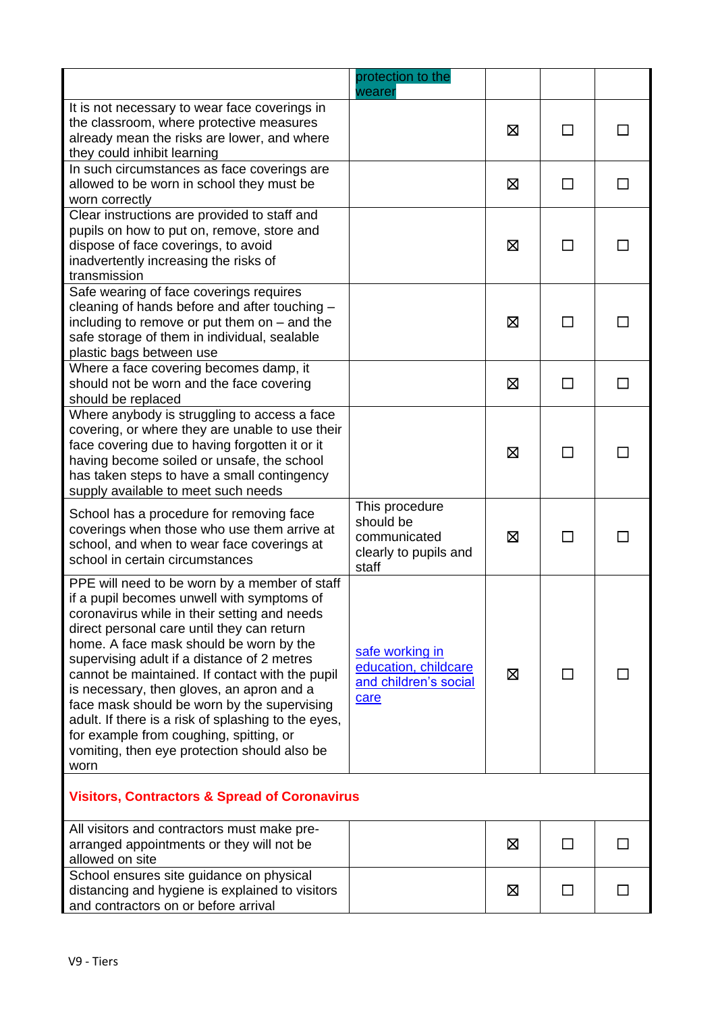|                                                                                                                                                                                                                                                                                                                                                                                                                                                                                                                                                                                              | protection to the<br>wearer                                                   |   |        |  |
|----------------------------------------------------------------------------------------------------------------------------------------------------------------------------------------------------------------------------------------------------------------------------------------------------------------------------------------------------------------------------------------------------------------------------------------------------------------------------------------------------------------------------------------------------------------------------------------------|-------------------------------------------------------------------------------|---|--------|--|
| It is not necessary to wear face coverings in<br>the classroom, where protective measures<br>already mean the risks are lower, and where<br>they could inhibit learning                                                                                                                                                                                                                                                                                                                                                                                                                      |                                                                               | 区 | ΙI     |  |
| In such circumstances as face coverings are<br>allowed to be worn in school they must be<br>worn correctly                                                                                                                                                                                                                                                                                                                                                                                                                                                                                   |                                                                               | X | ΙI     |  |
| Clear instructions are provided to staff and<br>pupils on how to put on, remove, store and<br>dispose of face coverings, to avoid<br>inadvertently increasing the risks of<br>transmission                                                                                                                                                                                                                                                                                                                                                                                                   |                                                                               | ⊠ |        |  |
| Safe wearing of face coverings requires<br>cleaning of hands before and after touching -<br>including to remove or put them on $-$ and the<br>safe storage of them in individual, sealable<br>plastic bags between use                                                                                                                                                                                                                                                                                                                                                                       |                                                                               | Ø | ΙI     |  |
| Where a face covering becomes damp, it<br>should not be worn and the face covering<br>should be replaced                                                                                                                                                                                                                                                                                                                                                                                                                                                                                     |                                                                               | 区 | П      |  |
| Where anybody is struggling to access a face<br>covering, or where they are unable to use their<br>face covering due to having forgotten it or it<br>having become soiled or unsafe, the school<br>has taken steps to have a small contingency<br>supply available to meet such needs                                                                                                                                                                                                                                                                                                        |                                                                               | X | $\Box$ |  |
| School has a procedure for removing face<br>coverings when those who use them arrive at<br>school, and when to wear face coverings at<br>school in certain circumstances                                                                                                                                                                                                                                                                                                                                                                                                                     | This procedure<br>should be<br>communicated<br>clearly to pupils and<br>staff | ⊠ | П      |  |
| PPE will need to be worn by a member of staff<br>if a pupil becomes unwell with symptoms of<br>coronavirus while in their setting and needs<br>direct personal care until they can return<br>home. A face mask should be worn by the<br>supervising adult if a distance of 2 metres<br>cannot be maintained. If contact with the pupil<br>is necessary, then gloves, an apron and a<br>face mask should be worn by the supervising<br>adult. If there is a risk of splashing to the eyes,<br>for example from coughing, spitting, or<br>vomiting, then eye protection should also be<br>worn | safe working in<br>education, childcare<br>and children's social<br>care      | X | ΙI     |  |
| <b>Visitors, Contractors &amp; Spread of Coronavirus</b>                                                                                                                                                                                                                                                                                                                                                                                                                                                                                                                                     |                                                                               |   |        |  |
| All visitors and contractors must make pre-<br>arranged appointments or they will not be<br>allowed on site                                                                                                                                                                                                                                                                                                                                                                                                                                                                                  |                                                                               | Ø | $\Box$ |  |
| School ensures site guidance on physical<br>distancing and hygiene is explained to visitors                                                                                                                                                                                                                                                                                                                                                                                                                                                                                                  |                                                                               | ⊠ |        |  |

and contractors on or before arrival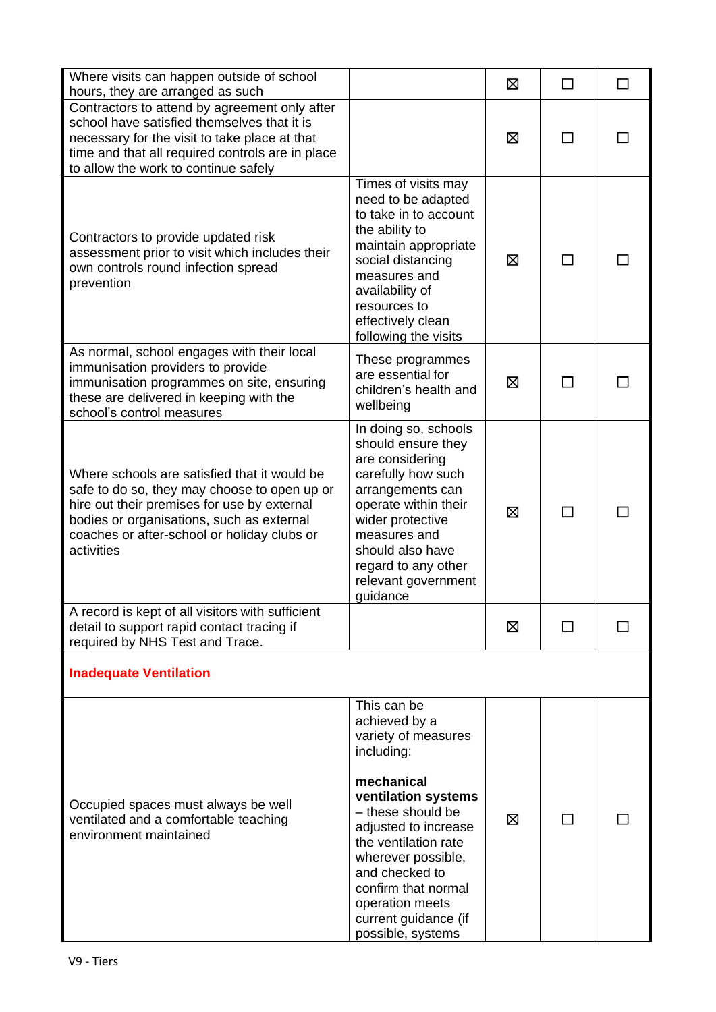| Where visits can happen outside of school<br>hours, they are arranged as such                                                                                                                                                                         |                                                                                                                                                                                                                                                                                                            | X | П      |  |
|-------------------------------------------------------------------------------------------------------------------------------------------------------------------------------------------------------------------------------------------------------|------------------------------------------------------------------------------------------------------------------------------------------------------------------------------------------------------------------------------------------------------------------------------------------------------------|---|--------|--|
| Contractors to attend by agreement only after<br>school have satisfied themselves that it is<br>necessary for the visit to take place at that<br>time and that all required controls are in place<br>to allow the work to continue safely             |                                                                                                                                                                                                                                                                                                            | ⊠ |        |  |
| Contractors to provide updated risk<br>assessment prior to visit which includes their<br>own controls round infection spread<br>prevention                                                                                                            | Times of visits may<br>need to be adapted<br>to take in to account<br>the ability to<br>maintain appropriate<br>social distancing<br>measures and<br>availability of<br>resources to<br>effectively clean<br>following the visits                                                                          | Ø | $\Box$ |  |
| As normal, school engages with their local<br>immunisation providers to provide<br>immunisation programmes on site, ensuring<br>these are delivered in keeping with the<br>school's control measures                                                  | These programmes<br>are essential for<br>children's health and<br>wellbeing                                                                                                                                                                                                                                | X | H      |  |
| Where schools are satisfied that it would be<br>safe to do so, they may choose to open up or<br>hire out their premises for use by external<br>bodies or organisations, such as external<br>coaches or after-school or holiday clubs or<br>activities | In doing so, schools<br>should ensure they<br>are considering<br>carefully how such<br>arrangements can<br>operate within their<br>wider protective<br>measures and<br>should also have<br>regard to any other<br>relevant government<br>guidance                                                          | 区 | ΙI     |  |
| A record is kept of all visitors with sufficient<br>detail to support rapid contact tracing if<br>required by NHS Test and Trace.                                                                                                                     |                                                                                                                                                                                                                                                                                                            | ⊠ | ΙI     |  |
| <b>Inadequate Ventilation</b>                                                                                                                                                                                                                         |                                                                                                                                                                                                                                                                                                            |   |        |  |
| Occupied spaces must always be well<br>ventilated and a comfortable teaching<br>environment maintained                                                                                                                                                | This can be<br>achieved by a<br>variety of measures<br>including:<br>mechanical<br>ventilation systems<br>- these should be<br>adjusted to increase<br>the ventilation rate<br>wherever possible,<br>and checked to<br>confirm that normal<br>operation meets<br>current guidance (if<br>possible, systems | X |        |  |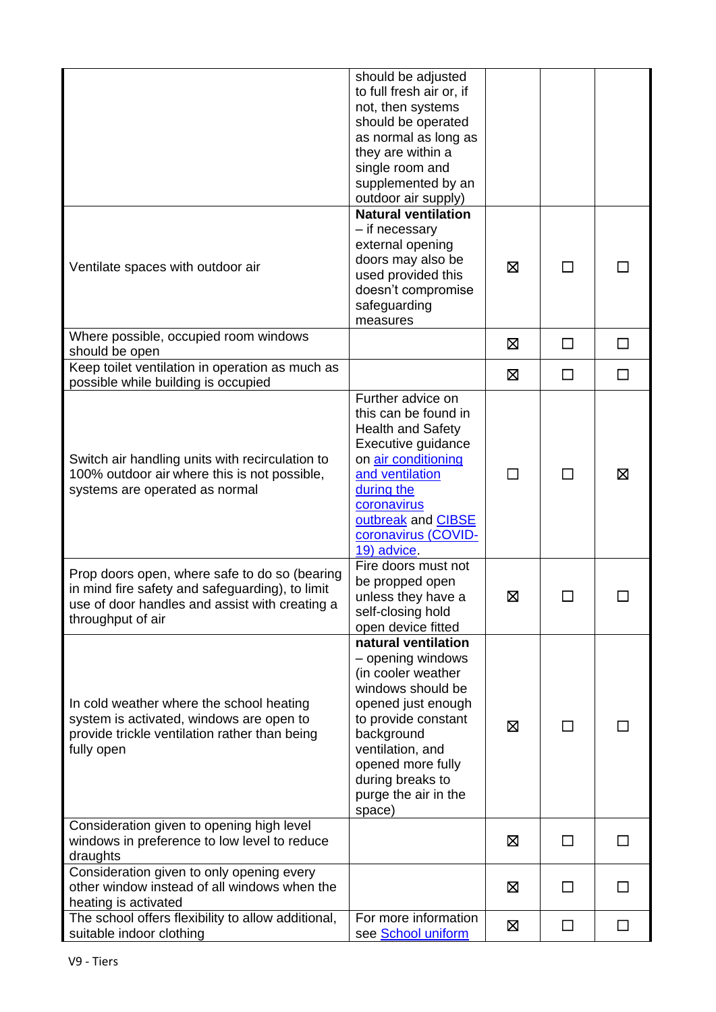|                                                                                                                                                                         | should be adjusted<br>to full fresh air or, if<br>not, then systems<br>should be operated<br>as normal as long as<br>they are within a<br>single room and<br>supplemented by an<br>outdoor air supply)                                        |   |        |              |
|-------------------------------------------------------------------------------------------------------------------------------------------------------------------------|-----------------------------------------------------------------------------------------------------------------------------------------------------------------------------------------------------------------------------------------------|---|--------|--------------|
| Ventilate spaces with outdoor air                                                                                                                                       | <b>Natural ventilation</b><br>- if necessary<br>external opening<br>doors may also be<br>used provided this<br>doesn't compromise<br>safeguarding<br>measures                                                                                 | ⊠ | ΙI     |              |
| Where possible, occupied room windows<br>should be open                                                                                                                 |                                                                                                                                                                                                                                               | ⊠ | $\Box$ | П            |
| Keep toilet ventilation in operation as much as<br>possible while building is occupied                                                                                  |                                                                                                                                                                                                                                               | ⊠ | П      | П            |
| Switch air handling units with recirculation to<br>100% outdoor air where this is not possible,<br>systems are operated as normal                                       | Further advice on<br>this can be found in<br><b>Health and Safety</b><br>Executive guidance<br>on air conditioning<br>and ventilation<br>during the<br>coronavirus<br>outbreak and CIBSE<br>coronavirus (COVID-<br>19) advice.                | П | $\Box$ | ⊠            |
| Prop doors open, where safe to do so (bearing<br>in mind fire safety and safeguarding), to limit<br>use of door handles and assist with creating a<br>throughput of air | Fire doors must not<br>be propped open<br>unless they have a<br>self-closing hold<br>open device fitted                                                                                                                                       | ⊠ |        |              |
| In cold weather where the school heating<br>system is activated, windows are open to<br>provide trickle ventilation rather than being<br>fully open                     | natural ventilation<br>- opening windows<br>(in cooler weather<br>windows should be<br>opened just enough<br>to provide constant<br>background<br>ventilation, and<br>opened more fully<br>during breaks to<br>purge the air in the<br>space) | X | ΙI     |              |
| Consideration given to opening high level<br>windows in preference to low level to reduce<br>draughts                                                                   |                                                                                                                                                                                                                                               | X | □      | $\Box$       |
| Consideration given to only opening every<br>other window instead of all windows when the<br>heating is activated                                                       |                                                                                                                                                                                                                                               | ⊠ | ΙI     |              |
| The school offers flexibility to allow additional,<br>suitable indoor clothing                                                                                          | For more information<br>see School uniform                                                                                                                                                                                                    | Ø | $\Box$ | $\mathsf{L}$ |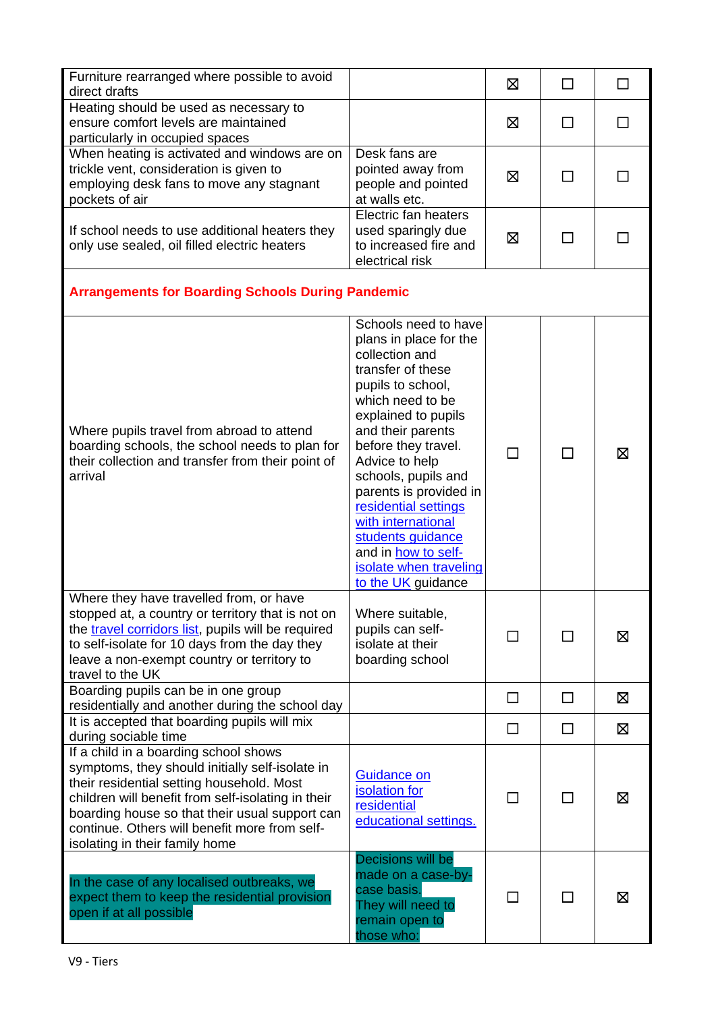| Furniture rearranged where possible to avoid<br>direct drafts                                                                                                                                                                                                                                                                    |                                                                                                                                                                                                                                                                                                                                                                                                                | X      | $\Box$ | П           |
|----------------------------------------------------------------------------------------------------------------------------------------------------------------------------------------------------------------------------------------------------------------------------------------------------------------------------------|----------------------------------------------------------------------------------------------------------------------------------------------------------------------------------------------------------------------------------------------------------------------------------------------------------------------------------------------------------------------------------------------------------------|--------|--------|-------------|
| Heating should be used as necessary to<br>ensure comfort levels are maintained<br>particularly in occupied spaces                                                                                                                                                                                                                |                                                                                                                                                                                                                                                                                                                                                                                                                | 区      | П      |             |
| When heating is activated and windows are on<br>trickle vent, consideration is given to<br>employing desk fans to move any stagnant<br>pockets of air                                                                                                                                                                            | Desk fans are<br>pointed away from<br>people and pointed<br>at walls etc.                                                                                                                                                                                                                                                                                                                                      | Ø      | ΙI     |             |
| If school needs to use additional heaters they<br>only use sealed, oil filled electric heaters                                                                                                                                                                                                                                   | Electric fan heaters<br>used sparingly due<br>to increased fire and<br>electrical risk                                                                                                                                                                                                                                                                                                                         | 区      | ΙI     |             |
| <b>Arrangements for Boarding Schools During Pandemic</b>                                                                                                                                                                                                                                                                         |                                                                                                                                                                                                                                                                                                                                                                                                                |        |        |             |
| Where pupils travel from abroad to attend<br>boarding schools, the school needs to plan for<br>their collection and transfer from their point of<br>arrival                                                                                                                                                                      | Schools need to have<br>plans in place for the<br>collection and<br>transfer of these<br>pupils to school,<br>which need to be<br>explained to pupils<br>and their parents<br>before they travel.<br>Advice to help<br>schools, pupils and<br>parents is provided in<br>residential settings<br>with international<br>students guidance<br>and in how to self-<br>isolate when traveling<br>to the UK guidance | П      | П      | ⊠           |
| Where they have travelled from, or have<br>stopped at, a country or territory that is not on<br>the travel corridors list, pupils will be required<br>to self-isolate for 10 days from the day they<br>leave a non-exempt country or territory to<br>travel to the UK                                                            | Where suitable,<br>pupils can self-<br>isolate at their<br>boarding school                                                                                                                                                                                                                                                                                                                                     | ΙI     | $\Box$ | ⊠           |
| Boarding pupils can be in one group<br>residentially and another during the school day                                                                                                                                                                                                                                           |                                                                                                                                                                                                                                                                                                                                                                                                                | □      | $\Box$ | ⊠           |
| It is accepted that boarding pupils will mix<br>during sociable time                                                                                                                                                                                                                                                             |                                                                                                                                                                                                                                                                                                                                                                                                                | $\Box$ | $\Box$ | $\boxtimes$ |
| If a child in a boarding school shows<br>symptoms, they should initially self-isolate in<br>their residential setting household. Most<br>children will benefit from self-isolating in their<br>boarding house so that their usual support can<br>continue. Others will benefit more from self-<br>isolating in their family home | <b>Guidance on</b><br>isolation for<br>residential<br>educational settings.                                                                                                                                                                                                                                                                                                                                    | П      | П      | ⊠           |
| In the case of any localised outbreaks, we<br>expect them to keep the residential provision<br>open if at all possible                                                                                                                                                                                                           | Decisions will be<br>made on a case-by-<br>case basis.<br>They will need to<br>remain open to<br>those who:                                                                                                                                                                                                                                                                                                    |        | ΙI     | ⊠           |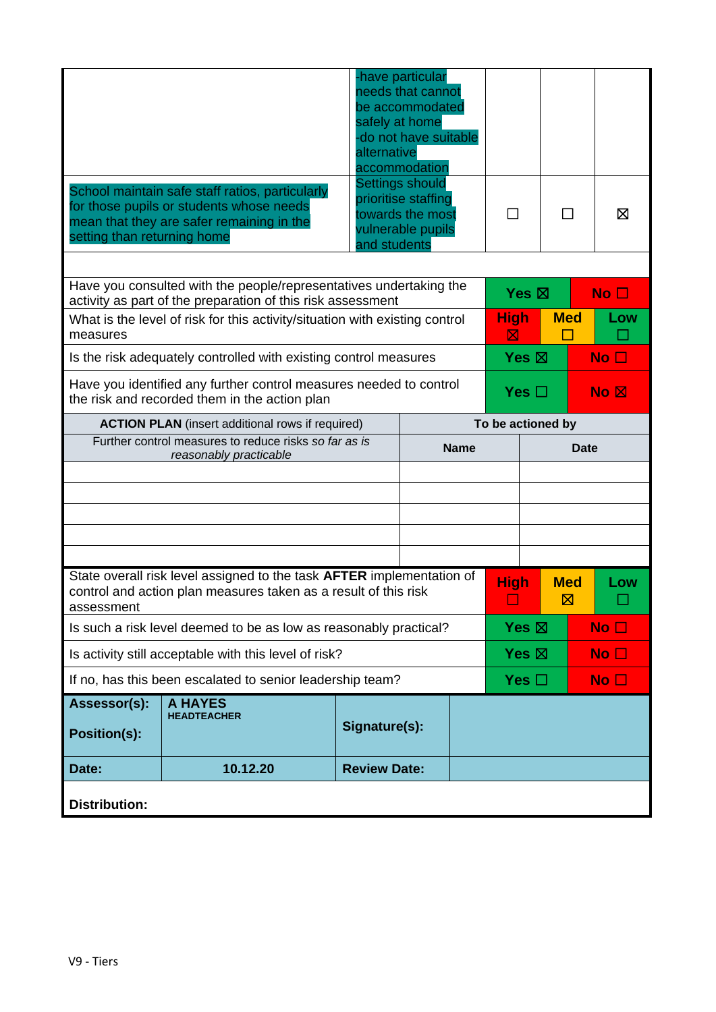|                                                                                                                     |                                                                                                                                          | alternative         | -have particular<br>needs that cannot<br>be accommodated<br>safely at home<br>-do not have suitable<br>accommodation |  |                  |                   |                                                  |  |
|---------------------------------------------------------------------------------------------------------------------|------------------------------------------------------------------------------------------------------------------------------------------|---------------------|----------------------------------------------------------------------------------------------------------------------|--|------------------|-------------------|--------------------------------------------------|--|
| setting than returning home                                                                                         | School maintain safe staff ratios, particularly<br>for those pupils or students whose needs<br>mean that they are safer remaining in the | and students        | <b>Settings should</b><br>prioritise staffing<br>towards the most<br>vulnerable pupils                               |  | ΙI               | П                 | ⊠                                                |  |
|                                                                                                                     | Have you consulted with the people/representatives undertaking the                                                                       |                     |                                                                                                                      |  |                  |                   |                                                  |  |
|                                                                                                                     | activity as part of the preparation of this risk assessment                                                                              |                     |                                                                                                                      |  | Yes $\boxtimes$  |                   | No <sub>1</sub>                                  |  |
| measures                                                                                                            | What is the level of risk for this activity/situation with existing control                                                              |                     |                                                                                                                      |  | <b>High</b><br>区 | <b>Med</b>        | Low                                              |  |
|                                                                                                                     | Is the risk adequately controlled with existing control measures                                                                         |                     |                                                                                                                      |  | Yes $\boxtimes$  |                   | No <sub>1</sub>                                  |  |
| Have you identified any further control measures needed to control<br>the risk and recorded them in the action plan |                                                                                                                                          |                     |                                                                                                                      |  |                  | Yes $\Box$        | $\overline{\mathsf{No}}$ $\overline{\mathsf{N}}$ |  |
| <b>ACTION PLAN</b> (insert additional rows if required)                                                             |                                                                                                                                          |                     |                                                                                                                      |  |                  | To be actioned by |                                                  |  |
| Further control measures to reduce risks so far as is                                                               |                                                                                                                                          | <b>Name</b>         | <b>Date</b>                                                                                                          |  |                  |                   |                                                  |  |
| reasonably practicable                                                                                              |                                                                                                                                          |                     |                                                                                                                      |  |                  |                   |                                                  |  |
|                                                                                                                     |                                                                                                                                          |                     |                                                                                                                      |  |                  |                   |                                                  |  |
|                                                                                                                     |                                                                                                                                          |                     |                                                                                                                      |  |                  |                   |                                                  |  |
|                                                                                                                     |                                                                                                                                          |                     |                                                                                                                      |  |                  |                   |                                                  |  |
| assessment                                                                                                          | State overall risk level assigned to the task AFTER implementation of<br>control and action plan measures taken as a result of this risk |                     |                                                                                                                      |  | <b>High</b>      | <b>Med</b><br>図   | Low                                              |  |
|                                                                                                                     | Is such a risk level deemed to be as low as reasonably practical?                                                                        |                     |                                                                                                                      |  | Yes $\boxtimes$  |                   | No <sub>1</sub>                                  |  |
| Is activity still acceptable with this level of risk?                                                               |                                                                                                                                          |                     |                                                                                                                      |  |                  | Yes $\boxtimes$   | No <sub>1</sub>                                  |  |
| If no, has this been escalated to senior leadership team?                                                           |                                                                                                                                          |                     |                                                                                                                      |  | Yes $\square$    |                   | No $\square$                                     |  |
| Assessor(s):<br><b>Position(s):</b>                                                                                 | <b>A HAYES</b><br><b>HEADTEACHER</b>                                                                                                     |                     | Signature(s):                                                                                                        |  |                  |                   |                                                  |  |
| Date:                                                                                                               | 10.12.20                                                                                                                                 | <b>Review Date:</b> |                                                                                                                      |  |                  |                   |                                                  |  |
| <b>Distribution:</b>                                                                                                |                                                                                                                                          |                     |                                                                                                                      |  |                  |                   |                                                  |  |